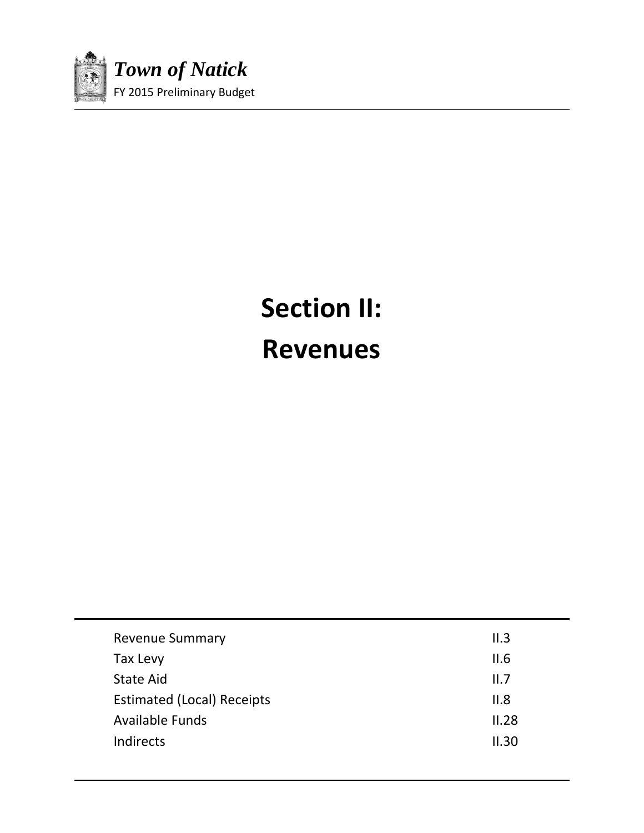

# **Section II: Revenues**

| <b>Revenue Summary</b>            | II.3  |
|-----------------------------------|-------|
| Tax Levy                          | II.6  |
| <b>State Aid</b>                  | IL 7  |
| <b>Estimated (Local) Receipts</b> | II.8  |
| Available Funds                   | II.28 |
| Indirects                         | II.30 |
|                                   |       |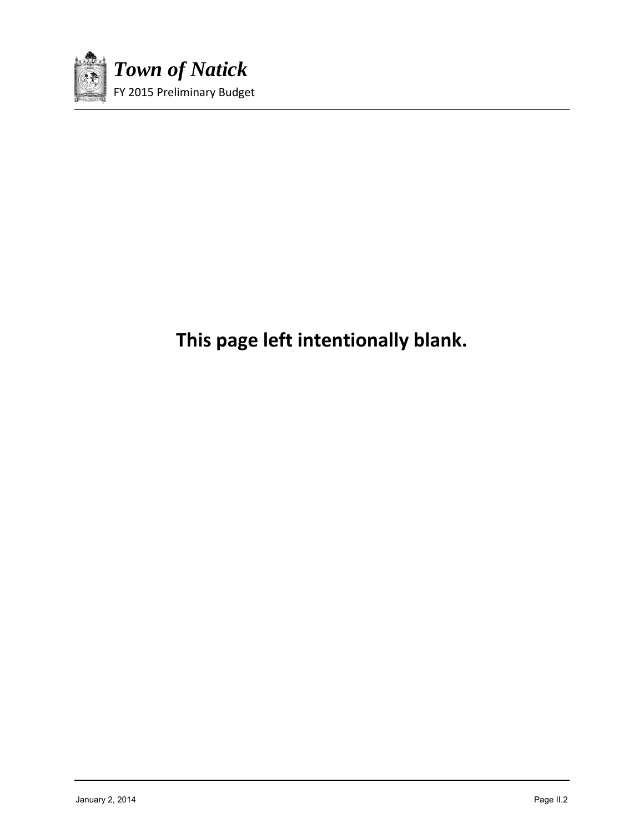

## **This page left intentionally blank.**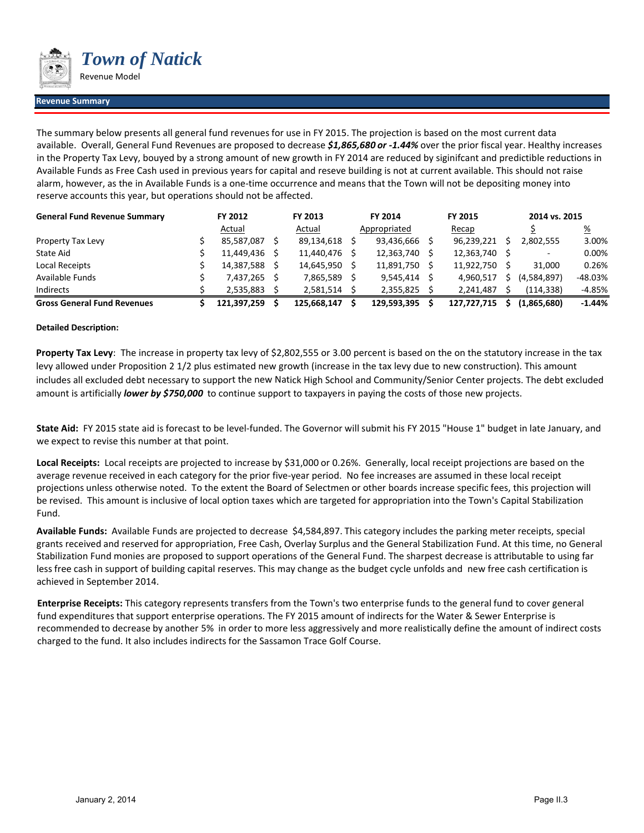

#### **Revenue Summary**

The summary below presents all general fund revenues for use in FY 2015. The projection is based on the most current data available. Overall, General Fund Revenues are proposed to decrease *\$1,865,680 or ‐1.44%* over the prior fiscal year. Healthy increases in the Property Tax Levy, bouyed by a strong amount of new growth in FY 2014 are reduced by siginifcant and predictible reductions in Available Funds as Free Cash used in previous years for capital and reseve building is not at current available. This should not raise alarm, however, as the in Available Funds is a one-time occurrence and means that the Town will not be depositing money into reserve accounts this year, but operations should not be affected.

| <b>General Fund Revenue Summary</b> | FY 2012     | FY 2013     | <b>FY 2014</b> | <b>FY 2015</b> | 2014 vs. 2015 |           |
|-------------------------------------|-------------|-------------|----------------|----------------|---------------|-----------|
|                                     | Actual      | Actual      | Appropriated   | Recap          |               | <u>%</u>  |
| Property Tax Levy                   | 85,587,087  | 89,134,618  | 93,436,666     | 96,239,221     | 2,802,555     | 3.00%     |
| State Aid                           | 11,449,436  | 11,440,476  | 12,363,740     | 12,363,740     |               | 0.00%     |
| Local Receipts                      | 14,387,588  | 14.645.950  | 11,891,750     | 11.922.750     | 31.000        | 0.26%     |
| Available Funds                     | 7,437,265   | 7,865,589   | 9,545,414      | 4,960,517      | (4,584,897)   | $-48.03%$ |
| Indirects                           | 2,535,883   | 2.581.514   | 2,355,825      | 2.241.487      | (114.338)     | $-4.85%$  |
| <b>Gross General Fund Revenues</b>  | 121,397,259 | 125,668,147 | 129,593,395    | 127.727.715    | (1,865,680)   | $-1.44%$  |

#### **Detailed Description:**

**Property Tax Levy**: The increase in property tax levy of \$2,802,555 or 3.00 percent is based on the on the statutory increase in the tax levy allowed under Proposition 2 1/2 plus estimated new growth (increase in the tax levy due to new construction). This amount includes all excluded debt necessary to support the new Natick High School and Community/Senior Center projects. The debt excluded amount is artificially *lower by \$750,000* to continue support to taxpayers in paying the costs of those new projects.

**State Aid:** FY 2015 state aid is forecast to be level‐funded. The Governor will submit his FY 2015 "House 1" budget in late January, and we expect to revise this number at that point.

**Local Receipts:** Local receipts are projected to increase by \$31,000 or 0.26%. Generally, local receipt projections are based on the average revenue received in each category for the prior five-year period. No fee increases are assumed in these local receipt projections unless otherwise noted. To the extent the Board of Selectmen or other boards increase specific fees, this projection will be revised. This amount is inclusive of local option taxes which are targeted for appropriation into the Town's Capital Stabilization Fund.

**Available Funds:** Available Funds are projected to decrease \$4,584,897. This category includes the parking meter receipts, special grants received and reserved for appropriation, Free Cash, Overlay Surplus and the General Stabilization Fund. At this time, no General Stabilization Fund monies are proposed to support operations of the General Fund. The sharpest decrease is attributable to using far less free cash in support of building capital reserves. This may change as the budget cycle unfolds and new free cash certification is achieved in September 2014.

**Enterprise Receipts:** This category represents transfers from the Town's two enterprise funds to the general fund to cover general fund expenditures that support enterprise operations. The FY 2015 amount of indirects for the Water & Sewer Enterprise is recommended to decrease by another 5% in order to more less aggressively and more realistically define the amount of indirect costs charged to the fund. It also includes indirects for the Sassamon Trace Golf Course.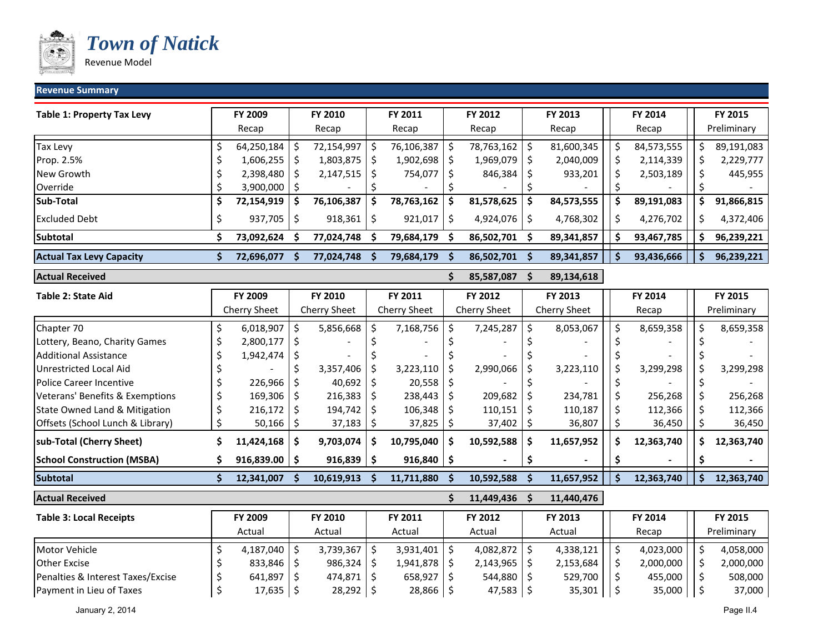

## *Town of Natick*

Revenue Model

| <b>Revenue Summary</b>                     |    |               |         |                |                          |              |             |               |                     |              |         |            |         |             |
|--------------------------------------------|----|---------------|---------|----------------|--------------------------|--------------|-------------|---------------|---------------------|--------------|---------|------------|---------|-------------|
| <b>Table 1: Property Tax Levy</b>          |    | FY 2009       |         | FY 2010        |                          | FY 2011      |             | FY 2012       |                     | FY 2013      |         | FY 2014    |         | FY 2015     |
|                                            |    | Recap         |         | Recap          |                          | Recap        |             | Recap         |                     | Recap        |         | Recap      |         | Preliminary |
| Tax Levy                                   | \$ | 64,250,184    | -Ś      | 72,154,997 \$  |                          | 76,106,387   | l \$        | 78,763,162    | l\$                 | 81,600,345   | \$      | 84,573,555 | \$      | 89,191,083  |
| Prop. 2.5%                                 | \$ | 1,606,255     | \$      | 1,803,875      | -Ś                       | 1,902,698    | l S         | 1,969,079     | l \$                | 2,040,009    | \$      | 2,114,339  | \$      | 2,229,777   |
| New Growth                                 | Ś  | 2,398,480     | Ŝ.      | 2,147,515      | -\$                      | 754,077      | l\$         | 846,384       | \$.                 | 933,201      | \$      | 2,503,189  | \$      | 445,955     |
| Override                                   | \$ | 3,900,000     | $\zeta$ |                |                          |              |             |               |                     |              | \$      |            | \$      |             |
| Sub-Total                                  | \$ | 72,154,919    | \$      | 76,106,387     | $\dot{\mathsf{s}}$       | 78,763,162   | \$ ا        | 81,578,625    | $\ddot{\bm{\zeta}}$ | 84,573,555   | \$      | 89,191,083 | \$      | 91,866,815  |
| <b>Excluded Debt</b>                       | \$ | 937,705       | \$      | 918,361        | $\overline{\phantom{0}}$ | 921,017      | l \$        | 4,924,076     | I \$                | 4,768,302    | \$      | 4,276,702  | \$      | 4,372,406   |
| <b>Subtotal</b>                            | \$ | 73,092,624    | Ś       | 77,024,748     | Ŝ                        | 79,684,179   | .\$         | 86,502,701    | Ŝ.                  | 89,341,857   | \$      | 93,467,785 | \$      | 96,239,221  |
| <b>Actual Tax Levy Capacity</b>            | \$ | 72,696,077 \$ |         | 77,024,748 \$  |                          | 79,684,179   | $\clubsuit$ | 86,502,701 \$ |                     | 89,341,857   | Ŝ       | 93,436,666 | Ś       | 96,239,221  |
| <b>Actual Received</b>                     |    |               |         |                |                          |              | \$          | 85,587,087    | \$                  | 89,134,618   |         |            |         |             |
| <b>Table 2: State Aid</b>                  |    | FY 2009       |         | FY 2010        |                          | FY 2011      |             | FY 2012       |                     | FY 2013      |         | FY 2014    |         | FY 2015     |
|                                            |    | Cherry Sheet  |         | Cherry Sheet   |                          | Cherry Sheet |             | Cherry Sheet  |                     | Cherry Sheet |         | Recap      |         | Preliminary |
| Chapter 70                                 | \$ | 6,018,907     | \$      | 5,856,668      | Ś.                       | 7,168,756    | \$          | 7,245,287     | \$                  | 8,053,067    | $\zeta$ | 8,659,358  | \$      | 8,659,358   |
| Lottery, Beano, Charity Games              | \$ | 2,800,177     | $\zeta$ |                |                          |              |             |               |                     |              | S       |            |         |             |
| <b>Additional Assistance</b>               | \$ | 1,942,474     | $\zeta$ |                |                          |              |             |               |                     |              | \$      |            |         |             |
| <b>Unrestricted Local Aid</b>              | \$ |               | \$      | 3,357,406      |                          | 3,223,110    | Ś           | 2,990,066     | \$                  | 3,223,110    | \$      | 3,299,298  | \$      | 3,299,298   |
| <b>Police Career Incentive</b>             | \$ | 226,966       | \$      | 40,692         | Ŝ.                       | 20,558       | S.          |               |                     |              | \$      |            |         |             |
| <b>Veterans' Benefits &amp; Exemptions</b> | Ś. | 169,306       | \$      | 216,383        | $\vert$ \$               | 238,443      | -Ś          | 209,682       | Ŝ.                  | 234,781      | \$      | 256,268    | $\zeta$ | 256,268     |
| State Owned Land & Mitigation              | \$ | 216,172       | $\zeta$ | 194,742        | \$                       | 106,348      | Ŝ.          | 110,151       | Ŝ.                  | 110,187      | \$      | 112,366    | \$      | 112,366     |
| Offsets (School Lunch & Library)           | \$ | 50,166        | \$      | 37,183         | Ŝ.                       | 37,825       | Ŝ.          | 37,402        | \$                  | 36,807       | \$      | 36,450     | \$      | 36,450      |
| sub-Total (Cherry Sheet)                   | \$ | 11,424,168    | \$      | 9,703,074      | Ś                        | 10,795,040   | Ŝ           | 10,592,588    | \$                  | 11,657,952   | \$      | 12,363,740 | Ś       | 12,363,740  |
| <b>School Construction (MSBA)</b>          | \$ | 916,839.00    | \$      | $916,839$ \$   |                          | 916,840      | \$          |               | \$                  |              | \$      |            | \$      |             |
| <b>Subtotal</b>                            | Ś. | 12,341,007    | .S      | 10,619,913     | Ŝ                        | 11,711,880   | Ŝ.          | 10,592,588    | Ŝ.                  | 11,657,952   | \$      | 12,363,740 | Ś.      | 12,363,740  |
| <b>Actual Received</b>                     |    |               |         |                |                          |              | \$          | 11,449,436    | - \$                | 11,440,476   |         |            |         |             |
| <b>Table 3: Local Receipts</b>             |    | FY 2009       |         | FY 2010        |                          | FY 2011      |             | FY 2012       |                     | FY 2013      |         | FY 2014    |         | FY 2015     |
|                                            |    | Actual        |         | Actual         |                          | Actual       |             | Actual        |                     | Actual       |         | Recap      |         | Preliminary |
| Motor Vehicle                              | \$ | 4,187,040     | \$      | $3,739,367$ \$ |                          | 3,931,401    | ۱\$         | 4,082,872     | -\$                 | 4,338,121    | \$      | 4,023,000  | $\zeta$ | 4,058,000   |
| <b>Other Excise</b>                        |    | 833,846       | \$      | 986,324        | -Ś                       | 1,941,878    | -\$         | 2,143,965     | \$                  | 2,153,684    | \$      | 2,000,000  | $\zeta$ | 2,000,000   |
| Penalties & Interest Taxes/Excise          | \$ | 641,897       | \$      | 474,871        |                          | 658,927      |             | 544,880       | Ŝ.                  | 529,700      | \$      | 455,000    | $\zeta$ | 508,000     |
| Payment in Lieu of Taxes                   | \$ | 17,635        | $\zeta$ | $28,292$ \$    |                          | 28,866       | l \$        | 47,583        | \$                  | 35,301       | \$      | 35,000     | $\zeta$ | 37,000      |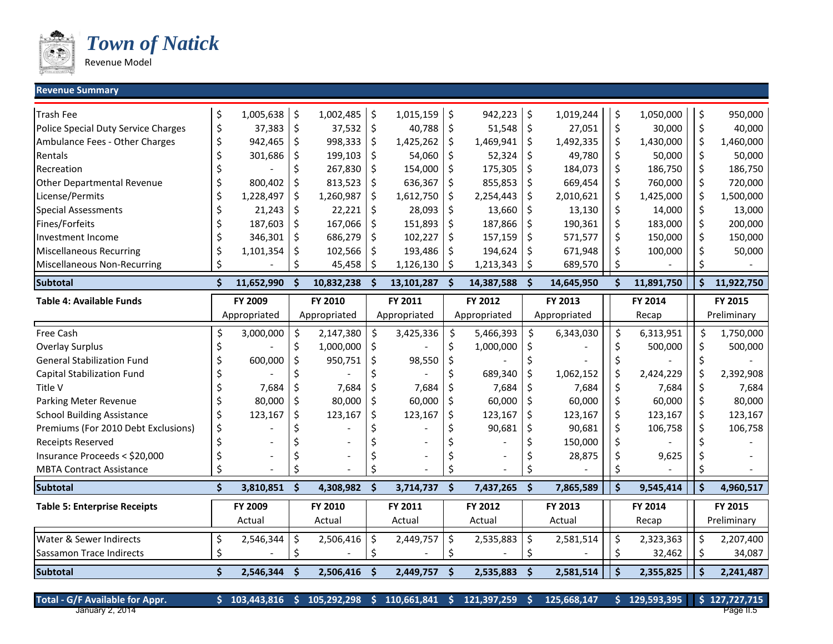

## *Town of Natick*

Revenue Model

| <b>Revenue Summary</b>              |    |              |    |              |                    |                |              |                |                     |              |                    |            |         |             |
|-------------------------------------|----|--------------|----|--------------|--------------------|----------------|--------------|----------------|---------------------|--------------|--------------------|------------|---------|-------------|
| <b>Trash Fee</b>                    | \$ | 1,005,638    | \$ | 1,002,485    | \$                 | 1,015,159      | \$           | 942,223        | \$                  | 1,019,244    | \$                 | 1,050,000  | \$      | 950,000     |
| Police Special Duty Service Charges | \$ | 37,383       | \$ | 37,532       | \$                 | 40,788         | $\mathsf{S}$ | $51,548$ \$    |                     | 27,051       | \$                 | 30,000     | $\zeta$ | 40,000      |
| Ambulance Fees - Other Charges      | \$ | 942,465      | \$ | 998,333      | \$                 | 1,425,262      | \$           | 1,469,941      | \$                  | 1,492,335    | \$                 | 1,430,000  | \$      | 1,460,000   |
| Rentals                             | Ś  | 301,686      | \$ | 199,103      | \$                 | 54,060         | Ś            | 52,324         | \$                  | 49,780       | \$                 | 50,000     | \$      | 50,000      |
| Recreation                          |    |              |    | 267,830      | \$                 | 154,000        |              | 175,305        |                     | 184,073      | \$                 | 186,750    | \$      | 186,750     |
| Other Departmental Revenue          |    | 800,402      |    | 813,523      | \$                 | 636,367        | \$           | 855,853 \$     |                     | 669,454      | \$                 | 760,000    | \$      | 720,000     |
| License/Permits                     | \$ | 1,228,497    | \$ | 1,260,987    | \$                 | 1,612,750      | \$           | 2,254,443      | \$                  | 2,010,621    | \$                 | 1,425,000  | \$      | 1,500,000   |
| <b>Special Assessments</b>          | \$ | 21,243       | \$ | 22,221       | \$                 | 28,093         | \$           | 13,660         | \$                  | 13,130       | \$                 | 14,000     | \$      | 13,000      |
| Fines/Forfeits                      |    | 187,603      | \$ | 167,066      | \$                 | 151,893        | \$           | 187,866   \$   |                     | 190,361      | \$                 | 183,000    | \$      | 200,000     |
| Investment Income                   | Ś  | 346,301      | \$ | 686,279      | \$                 | 102,227        | \$           | $157,159$ \$   |                     | 571,577      | \$                 | 150,000    | \$      | 150,000     |
| <b>Miscellaneous Recurring</b>      | Ś  | 1,101,354    | \$ | 102,566      | \$                 | 193,486        | \$           | 194,624 \$     |                     | 671,948      | \$                 | 100,000    | \$      | 50,000      |
| <b>Miscellaneous Non-Recurring</b>  |    |              |    | 45,458       | \$                 | $1,126,130$ \$ |              | $1,213,343$ \$ |                     | 689,570      | Ŝ.                 |            | Ś       |             |
| <b>Subtotal</b>                     | \$ | 11,652,990   | Ŝ  | 10,832,238   | Ŝ.                 | 13,101,287     | -\$          | 14,387,588     | -\$                 | 14,645,950   | Ŝ.                 | 11,891,750 | \$      | 11,922,750  |
| <b>Table 4: Available Funds</b>     |    | FY 2009      |    | FY 2010      |                    | FY 2011        |              | FY 2012        |                     | FY 2013      |                    | FY 2014    |         | FY 2015     |
|                                     |    | Appropriated |    | Appropriated |                    | Appropriated   |              | Appropriated   |                     | Appropriated |                    | Recap      |         | Preliminary |
| Free Cash                           | \$ | 3,000,000    | \$ | 2,147,380    | Ś                  | 3,425,336      | Ŝ.           | 5,466,393      | Ś.                  | 6,343,030    | \$                 | 6,313,951  | \$      | 1,750,000   |
| <b>Overlay Surplus</b>              |    |              |    | 1,000,000    | \$                 |                |              | 1,000,000      | S                   |              | \$                 | 500,000    | \$      | 500,000     |
| <b>General Stabilization Fund</b>   |    | 600,000      | \$ | 950,751      | \$                 | 98,550         |              |                |                     |              | \$                 |            | \$      |             |
| <b>Capital Stabilization Fund</b>   |    |              |    |              |                    |                |              | 689,340        | Ś                   | 1,062,152    | \$                 | 2,424,229  | \$      | 2,392,908   |
| Title V                             |    | 7,684        |    | 7,684        | \$                 | 7,684          |              | 7,684          | \$                  | 7,684        | \$                 | 7,684      | \$      | 7,684       |
| Parking Meter Revenue               |    | 80,000       | \$ | 80,000       | \$                 | 60,000         | \$           | 60,000         | $\vert$ \$          | 60,000       | \$                 | 60,000     | \$      | 80,000      |
| <b>School Building Assistance</b>   |    | 123,167      | \$ | 123,167      | \$                 | 123,167        | \$           | 123,167        | \$                  | 123,167      | \$                 | 123,167    | \$      | 123,167     |
| Premiums (For 2010 Debt Exclusions) | Ś  |              |    |              |                    |                |              | 90,681         | \$                  | 90,681       | \$                 | 106,758    | \$      | 106,758     |
| <b>Receipts Reserved</b>            | Ś  |              |    |              |                    |                |              |                |                     | 150,000      | \$                 |            |         |             |
| Insurance Proceeds < \$20,000       | Ś  |              |    |              |                    |                |              |                |                     | 28,875       | \$                 | 9,625      |         |             |
| <b>MBTA Contract Assistance</b>     | Ś  |              |    |              | Ś                  |                |              |                |                     |              | Ś                  |            |         |             |
| <b>Subtotal</b>                     | \$ | 3,810,851    | \$ | 4,308,982    | $\dot{\mathsf{s}}$ | 3,714,737      | $\zeta$      | 7,437,265      | $\ddot{\bm{\zeta}}$ | 7,865,589    | $\dot{\mathsf{s}}$ | 9,545,414  | \$      | 4,960,517   |
| <b>Table 5: Enterprise Receipts</b> |    | FY 2009      |    | FY 2010      |                    | FY 2011        |              | FY 2012        |                     | FY 2013      |                    | FY 2014    |         | FY 2015     |
|                                     |    | Actual       |    | Actual       |                    | Actual         |              | Actual         |                     | Actual       |                    | Recap      |         | Preliminary |
| Water & Sewer Indirects             | \$ | 2,546,344    | \$ | 2,506,416    | \$                 | 2,449,757      | $\zeta$      | 2,535,883      | \$                  | 2,581,514    | \$                 | 2,323,363  | \$      | 2,207,400   |
| <b>Sassamon Trace Indirects</b>     | \$ |              | \$ |              | Ś                  |                | Ś            |                | Ś                   |              | S                  | 32,462     | \$      | 34,087      |
| <b>Subtotal</b>                     | Ś. | 2,546,344    | Ś. | 2,506,416    | Ŝ.                 | 2,449,757      | -Ś           | 2,535,883      | Ŝ.                  | 2,581,514    | Ŝ.                 | 2,355,825  | Ś       | 2,241,487   |

January 2, 2014

Total - G/F Available for Appr. \$103,443,816 \$105,292,298 \$110,661,841 \$121,397,259 \$125,668,147 \$129,593,395 \$127,727,715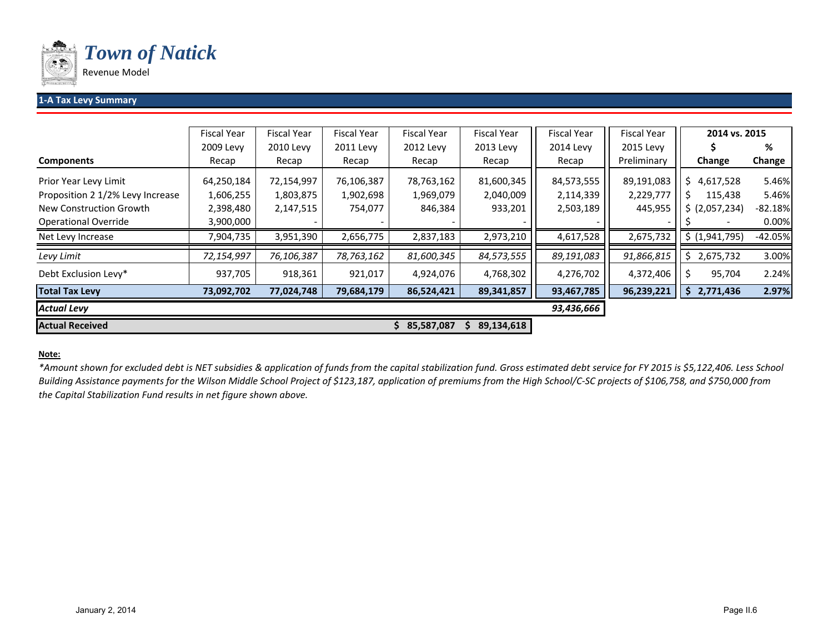

#### **1‐A Tax Levy Summary**

|                                  | <b>Fiscal Year</b> | <b>Fiscal Year</b> | <b>Fiscal Year</b> | <b>Fiscal Year</b> | <b>Fiscal Year</b> | <b>Fiscal Year</b> | <b>Fiscal Year</b> | 2014 vs. 2015   |           |
|----------------------------------|--------------------|--------------------|--------------------|--------------------|--------------------|--------------------|--------------------|-----------------|-----------|
|                                  | 2009 Levy          | 2010 Levy          | 2011 Levy          | 2012 Levy          | 2013 Levy          | 2014 Levy          | 2015 Levy          |                 | %         |
| <b>Components</b>                | Recap              | Recap              | Recap              | Recap              | Recap              | Recap              | Preliminary        | Change          | Change    |
| Prior Year Levy Limit            | 64,250,184         | 72,154,997         | 76,106,387         | 78,763,162         | 81,600,345         | 84,573,555         | 89,191,083         | 4,617,528<br>Ś. | 5.46%     |
| Proposition 2 1/2% Levy Increase | 1,606,255          | 1,803,875          | 1,902,698          | 1,969,079          | 2,040,009          | 2,114,339          | 2,229,777          | 115,438         | 5.46%     |
| New Construction Growth          | 2,398,480          | 2,147,515          | 754,077            | 846,384            | 933,201            | 2,503,189          | 445,955            | \$ (2,057,234)  | $-82.18%$ |
| <b>Operational Override</b>      | 3,900,000          |                    |                    |                    |                    |                    |                    |                 | 0.00%     |
| Net Levy Increase                | 7,904,735          | 3,951,390          | 2,656,775          | 2,837,183          | 2,973,210          | 4,617,528          | 2,675,732          | \$ (1,941,795)  | $-42.05%$ |
| Levy Limit                       | 72,154,997         | 76,106,387         | 78,763,162         | 81,600,345         | 84,573,555         | 89,191,083         | 91,866,815         | 2,675,732<br>Ś  | 3.00%     |
| Debt Exclusion Levy*             | 937,705            | 918,361            | 921,017            | 4,924,076          | 4,768,302          | 4,276,702          | 4,372,406          | 95,704          | 2.24%     |
| <b>Total Tax Levy</b>            | 73,092,702         | 77,024,748         | 79,684,179         | 86,524,421         | 89,341,857         | 93,467,785         | 96,239,221         | \$<br>2,771,436 | 2.97%     |
| <b>Actual Levy</b>               |                    |                    |                    |                    |                    | 93,436,666         |                    |                 |           |
| <b>Actual Received</b>           |                    |                    |                    | 85,587,087         | 89,134,618         |                    |                    |                 |           |

#### **Note:**

\*Amount shown for excluded debt is NET subsidies & application of funds from the capital stabilization fund. Gross estimated debt service for FY 2015 is \$5,122,406. Less School Building Assistance payments for the Wilson Middle School Project of \$123,187, application of premiums from the High School/C-SC projects of \$106,758, and \$750,000 from *the Capital Stabilization Fund results in net figure shown above.*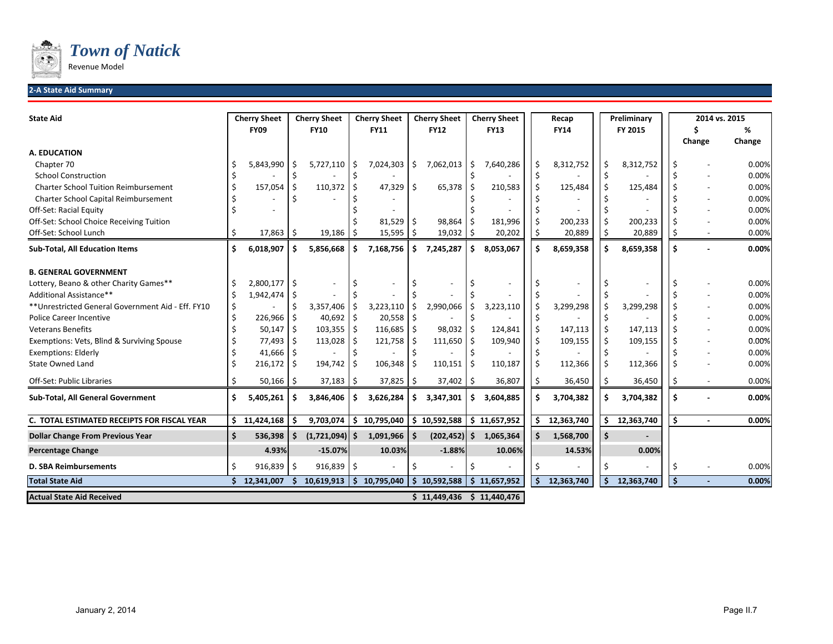

#### **2‐A State Aid Summary**

| <b>State Aid</b>                                   |                    | <b>Cherry Sheet</b><br><b>FY09</b> |     | <b>Cherry Sheet</b><br><b>FY10</b> |     | <b>Cherry Sheet</b><br><b>FY11</b> |     | <b>Cherry Sheet</b><br><b>FY12</b> |     | <b>Cherry Sheet</b><br><b>FY13</b> |    | Recap<br><b>FY14</b> |    | Preliminary<br>FY 2015 |    | 2014 vs. 2015<br>Change | %<br>Change |
|----------------------------------------------------|--------------------|------------------------------------|-----|------------------------------------|-----|------------------------------------|-----|------------------------------------|-----|------------------------------------|----|----------------------|----|------------------------|----|-------------------------|-------------|
| <b>A. EDUCATION</b>                                |                    |                                    |     |                                    |     |                                    |     |                                    |     |                                    |    |                      |    |                        |    |                         |             |
| Chapter 70                                         | \$                 | 5,843,990                          | -S  | 5,727,110                          | Ŝ.  | 7,024,303                          | \$. | 7,062,013                          | \$  | 7,640,286                          | \$ | 8,312,752            | \$ | 8,312,752              |    |                         | 0.00%       |
| <b>School Construction</b>                         |                    |                                    |     |                                    |     |                                    |     |                                    |     |                                    |    |                      |    |                        |    |                         | 0.00%       |
| <b>Charter School Tuition Reimbursement</b>        |                    | 157,054                            |     | 110,372                            |     | 47,329                             | S   | 65,378                             | Ŝ   | 210,583                            |    | 125,484              |    | 125,484                |    |                         | 0.00%       |
| Charter School Capital Reimbursement               |                    |                                    |     |                                    |     |                                    |     |                                    |     |                                    |    |                      |    |                        |    |                         | 0.00%       |
| Off-Set: Racial Equity                             |                    |                                    |     |                                    |     |                                    |     |                                    |     |                                    |    |                      |    |                        |    |                         | 0.00%       |
| Off-Set: School Choice Receiving Tuition           |                    |                                    |     |                                    |     | 81,529                             |     | 98,864                             |     | 181,996                            |    | 200,233              |    | 200,233                |    |                         | 0.00%       |
| Off-Set: School Lunch                              | Ŝ.                 | 17,863                             | l\$ | 19,186                             |     | 15,595                             |     | 19,032                             | \$  | 20,202                             |    | 20,889               |    | 20,889                 |    |                         | 0.00%       |
| Sub-Total, All Education Items                     | Ŝ.                 | 6,018,907                          | \$. | 5,856,668                          | Ŝ.  | 7,168,756                          | Ŝ.  | 7,245,287                          | \$. | 8,053,067                          | Ŝ  | 8,659,358            | Ś. | 8,659,358              | Ś  |                         | 0.00%       |
| <b>B. GENERAL GOVERNMENT</b>                       |                    |                                    |     |                                    |     |                                    |     |                                    |     |                                    |    |                      |    |                        |    |                         |             |
| Lottery, Beano & other Charity Games**             | Ŝ                  | $2,800,177$ \$                     |     |                                    |     |                                    |     |                                    |     |                                    |    |                      |    |                        |    |                         | 0.00%       |
| Additional Assistance**                            | $\zeta$            | 1,942,474                          | -\$ |                                    |     |                                    |     |                                    |     |                                    |    |                      |    |                        |    |                         | 0.00%       |
| ** Unrestricted General Government Aid - Eff. FY10 | \$                 |                                    |     | 3,357,406                          |     | 3,223,110                          |     | 2,990,066                          | \$  | 3,223,110                          |    | 3,299,298            |    | 3,299,298              |    |                         | 0.00%       |
| <b>Police Career Incentive</b>                     | \$                 | 226,966                            |     | 40,692                             | l S | 20,558                             | -S  |                                    | \$  |                                    |    |                      |    |                        |    |                         | 0.00%       |
| <b>Veterans Benefits</b>                           |                    | 50,147                             |     | 103,355                            |     | 116,685                            |     | 98,032                             |     | 124,841                            |    | 147,113              | \$ | 147,113                |    |                         | 0.00%       |
| Exemptions: Vets, Blind & Surviving Spouse         |                    | 77,493                             |     | 113,028                            |     | 121,758                            |     | 111,650                            | \$  | 109,940                            |    | 109,155              |    | 109,155                |    |                         | 0.00%       |
| <b>Exemptions: Elderly</b>                         |                    | 41,666                             | -S  |                                    |     |                                    |     |                                    |     |                                    |    |                      |    |                        |    |                         | 0.00%       |
| <b>State Owned Land</b>                            |                    | 216,172                            | S   | 194,742                            |     | 106,348                            |     | 110,151                            | Ŝ   | 110,187                            | Ŝ. | 112,366              | Ŝ  | 112,366                |    |                         | 0.00%       |
| Off-Set: Public Libraries                          | Ś                  | 50,166                             | S   | 37,183                             | l S | 37,825                             | -S  | 37,402                             | -S  | 36,807                             |    | 36,450               |    | 36,450                 |    |                         | 0.00%       |
| Sub-Total, All General Government                  | Ŝ.                 | 5,405,261                          | Ś   | 3,846,406                          | Ŝ.  | 3,626,284                          | Ś.  | 3,347,301                          | \$. | 3,604,885                          | Ŝ. | 3,704,382            | Ś. | 3,704,382              |    |                         | 0.00%       |
| C. TOTAL ESTIMATED RECEIPTS FOR FISCAL YEAR        |                    | \$11,424,168                       | s   | 9,703,074                          | Ŝ.  | 10,795,040                         |     | \$10,592,588                       |     | \$11,657,952                       | Ŝ. | 12,363,740           | Ś. | 12,363,740             | Ś. | $\overline{a}$          | 0.00%       |
| <b>Dollar Change From Previous Year</b>            | Ŝ.                 | 536,398                            |     | (1,721,094)                        | \$  | 1,091,966                          | Ŝ.  | (202, 452)                         | \$  | 1,065,364                          | S  | 1,568,700            | \$ |                        |    |                         |             |
| <b>Percentage Change</b>                           |                    | 4.93%                              |     | $-15.07%$                          |     | 10.03%                             |     | $-1.88%$                           |     | 10.06%                             |    | 14.53%               |    | 0.00%                  |    |                         |             |
| <b>D. SBA Reimbursements</b>                       | $\mathsf{\hat{S}}$ | 916,839                            | -S  | $916,839$ \$                       |     |                                    |     |                                    | Ŝ.  |                                    |    |                      |    |                        |    |                         | 0.00%       |
| <b>Total State Aid</b>                             | Ś.                 | 12,341,007                         | Ŝ.  | $10,619,913$ \$ 10,795,040         |     |                                    |     | 5 10,592,588                       |     | \$11,657,952                       | Ŝ. | 12,363,740           | Ś. | 12,363,740             | Ŝ. |                         | 0.00%       |
| <b>Actual State Aid Received</b>                   |                    |                                    |     |                                    |     |                                    |     | $$11,449,436 \quad $11,440,476$    |     |                                    |    |                      |    |                        |    |                         |             |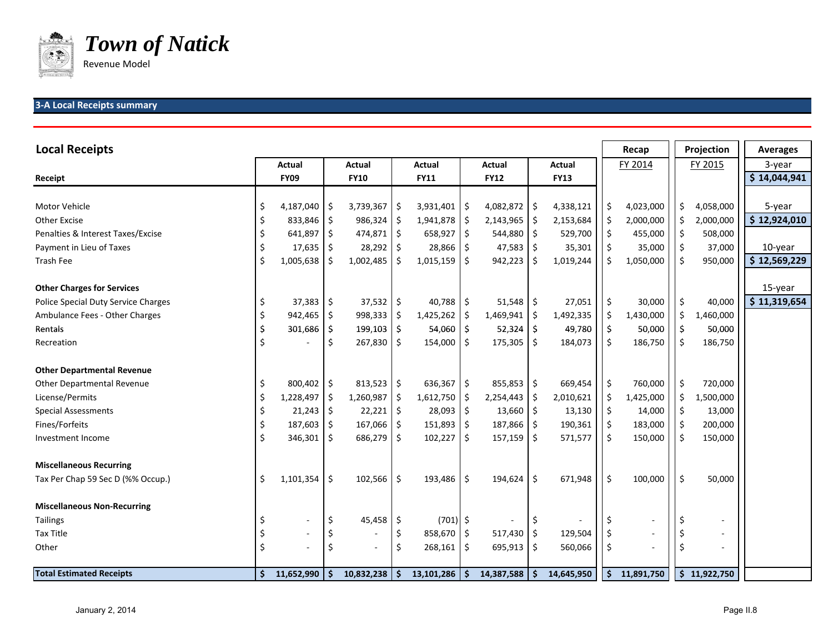

#### **3‐A Local Receipts summary**

| <b>Local Receipts</b>               |    |                |     |               |    |                |    |              |    |             |         | Recap      |                     | Projection               | <b>Averages</b> |
|-------------------------------------|----|----------------|-----|---------------|----|----------------|----|--------------|----|-------------|---------|------------|---------------------|--------------------------|-----------------|
|                                     |    | <b>Actual</b>  |     | <b>Actual</b> |    | <b>Actual</b>  |    | Actual       |    | Actual      |         | FY 2014    |                     | FY 2015                  | 3-year          |
| Receipt                             |    | <b>FY09</b>    |     | <b>FY10</b>   |    | <b>FY11</b>    |    | <b>FY12</b>  |    | <b>FY13</b> |         |            |                     |                          | \$14,044,941    |
|                                     |    |                |     |               |    |                |    |              |    |             |         |            |                     |                          |                 |
| Motor Vehicle                       | \$ | 4,187,040 \$   |     | 3,739,367     | Ŝ. | 3,931,401 \$   |    | 4,082,872 \$ |    | 4,338,121   | \$      | 4,023,000  | $\zeta$             | 4,058,000                | 5-year          |
| <b>Other Excise</b>                 |    | 833,846 \$     |     | 986,324       | \$ | 1,941,878 \$   |    | 2,143,965    | \$ | 2,153,684   | \$      | 2,000,000  | $\zeta$             | 2,000,000                | \$12,924,010    |
| Penalties & Interest Taxes/Excise   |    | $641,897$ \$   |     | 474,871       | \$ | 658,927 \$     |    | 544,880 \$   |    | 529,700     | $\zeta$ | 455,000    | $\zeta$             | 508,000                  |                 |
| Payment in Lieu of Taxes            |    | $17,635$ \$    |     | $28,292$ \$   |    | 28,866 \$      |    | $47,583$ \$  |    | 35,301      | \$      | 35,000     | $\zeta$             | 37,000                   | 10-year         |
| <b>Trash Fee</b>                    | Ś  | $1,005,638$ \$ |     | 1,002,485     | Š. | $1,015,159$ \$ |    | 942,223      | \$ | 1,019,244   | Ŝ.      | 1,050,000  | Ŝ.                  | 950,000                  | \$12,569,229    |
|                                     |    |                |     |               |    |                |    |              |    |             |         |            |                     |                          |                 |
| <b>Other Charges for Services</b>   |    |                |     |               |    |                |    |              |    |             |         |            |                     |                          | 15-year         |
| Police Special Duty Service Charges |    | $37,383$ \$    |     | $37,532$ \$   |    | 40,788 \$      |    | $51,548$ \$  |    | 27,051      | -\$     | 30,000     | Ŝ.                  | 40,000                   | \$11,319,654    |
| Ambulance Fees - Other Charges      |    | 942,465 \$     |     | 998,333       | \$ | 1,425,262 \$   |    | 1,469,941    | \$ | 1,492,335   | \$      | 1,430,000  | \$                  | 1,460,000                |                 |
| Rentals                             | \$ | $301,686$ \$   |     | $199,103$ \$  |    | $54,060$ \$    |    | $52,324$ \$  |    | 49,780      | $\zeta$ | 50,000     | $\ddot{\mathsf{S}}$ | 50,000                   |                 |
| Recreation                          |    |                |     | 267,830 \$    |    | 154,000 \$     |    | 175,305      | \$ | 184,073     | Ŝ.      | 186,750    | Ŝ.                  | 186,750                  |                 |
| <b>Other Departmental Revenue</b>   |    |                |     |               |    |                |    |              |    |             |         |            |                     |                          |                 |
| Other Departmental Revenue          | \$ | 800,402 \$     |     | $813,523$ \$  |    | 636,367 \$     |    | 855,853 \$   |    | 669,454     | \$      | 760,000    | \$                  | 720,000                  |                 |
| License/Permits                     |    | 1,228,497 \$   |     | 1,260,987     | \$ | 1,612,750 \$   |    | 2,254,443    | \$ | 2,010,621   | \$      | 1,425,000  | \$                  | 1,500,000                |                 |
| <b>Special Assessments</b>          |    | $21,243$ \$    |     | 22,221        | \$ | $28,093$ \$    |    | $13,660$ \$  |    | 13,130      | \$      | 14,000     | \$                  | 13,000                   |                 |
| Fines/Forfeits                      | \$ | 187,603 \$     |     | 167,066       | \$ | $151,893$ \$   |    | 187,866 \$   |    | 190,361     | \$      | 183,000    | $\varsigma$         | 200,000                  |                 |
| Investment Income                   | Ś  | 346,301 \$     |     | 686,279       | Ŝ. | $102,227$ \$   |    | $157,159$ \$ |    | 571,577     | Ŝ.      | 150,000    | Ŝ.                  | 150,000                  |                 |
| <b>Miscellaneous Recurring</b>      |    |                |     |               |    |                |    |              |    |             |         |            |                     |                          |                 |
|                                     |    |                |     |               |    |                |    |              |    |             |         |            |                     |                          |                 |
| Tax Per Chap 59 Sec D (%% Occup.)   | \$ | 1,101,354      | -Ś  | $102,566$ \$  |    | 193,486 \$     |    | 194,624      | \$ | 671,948     | \$      | 100,000    | $\ddot{\mathsf{S}}$ | 50,000                   |                 |
| <b>Miscellaneous Non-Recurring</b>  |    |                |     |               |    |                |    |              |    |             |         |            |                     |                          |                 |
| <b>Tailings</b>                     | \$ | $\blacksquare$ | Ŝ.  | 45,458        | \$ | $(701)$ \$     |    |              | \$ |             | .S      |            |                     | ۰                        |                 |
| <b>Tax Title</b>                    | \$ | $\sim$         | -\$ |               | \$ | 858,670 \$     |    | 517,430 \$   |    | 129,504     | $\zeta$ |            |                     | $\overline{\phantom{a}}$ |                 |
| Other                               | Ś. | $\overline{a}$ |     | $\sim$        | Š. | $268,161$ \$   |    | $695,913$ \$ |    | 560,066     | \$      |            |                     |                          |                 |
| <b>Total Estimated Receipts</b>     | Ś. | 11,652,990     | Ŝ.  | 10,832,238    | Ŝ. | 13,101,286     | Ŝ. | 14,387,588   | Ŝ. | 14,645,950  | \$      | 11,891,750 |                     | \$11,922,750             |                 |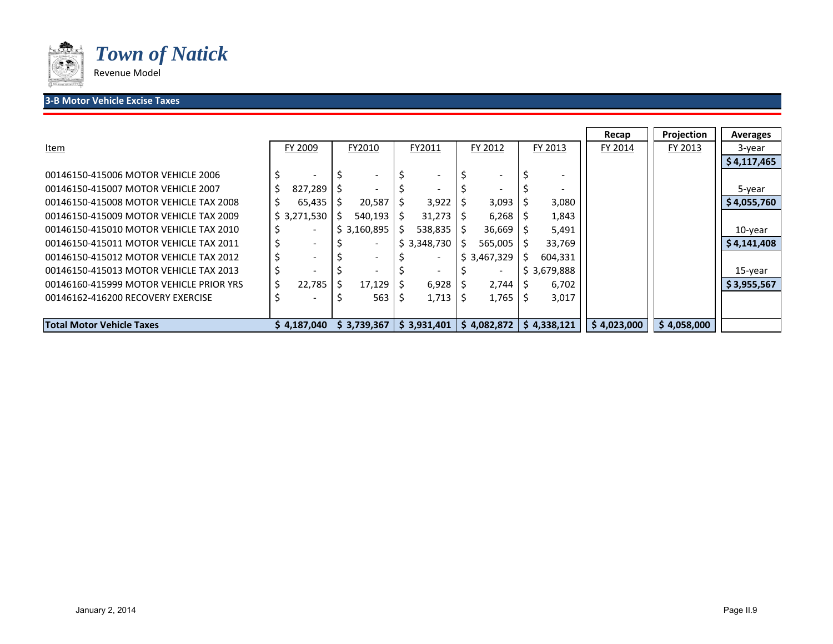

#### **3‐B Motor Vehicle Excise Taxes**

|                                         |                          |             |                            |                          |             | Recap       | Projection  | <b>Averages</b> |
|-----------------------------------------|--------------------------|-------------|----------------------------|--------------------------|-------------|-------------|-------------|-----------------|
| Item                                    | FY 2009                  | FY2010      | FY2011                     | FY 2012                  | FY 2013     | FY 2014     | FY 2013     | 3-year          |
|                                         |                          |             |                            |                          |             |             |             | \$4,117,465     |
| 00146150-415006 MOTOR VEHICLE 2006      |                          |             |                            |                          |             |             |             |                 |
| 00146150-415007 MOTOR VEHICLE 2007      | 827,289                  |             |                            | $\overline{\phantom{0}}$ |             |             |             | 5-year          |
| 00146150-415008 MOTOR VEHICLE TAX 2008  | \$<br>65,435             | 20,587<br>S | 3,922<br>S                 | 3,093                    | 3,080<br>-S |             |             | \$4,055,760     |
| 00146150-415009 MOTOR VEHICLE TAX 2009  | \$3,271,530              | 540,193     | 31,273<br>S                | $6,268$ S                | 1,843       |             |             |                 |
| 00146150-415010 MOTOR VEHICLE TAX 2010  | $\overline{\phantom{a}}$ | \$3,160,895 | 538,835                    | $36,669$ S               | 5,491       |             |             | 10-year         |
| 00146150-415011 MOTOR VEHICLE TAX 2011  | $\overline{\phantom{a}}$ |             | \$3,348,730                | $565,005$ S              | 33,769      |             |             | \$4,141,408     |
| 00146150-415012 MOTOR VEHICLE TAX 2012  |                          |             |                            | \$3,467,329              | 604,331     |             |             |                 |
| 00146150-415013 MOTOR VEHICLE TAX 2013  |                          |             | $\overline{\phantom{a}}$   | $\overline{\phantom{a}}$ | \$3,679,888 |             |             | 15-year         |
| 00146160-415999 MOTOR VEHICLE PRIOR YRS | 22,785                   | 17,129      | 6,928                      | 2,744                    | 6,702<br>-S |             |             | \$3,955,567     |
| 00146162-416200 RECOVERY EXERCISE       |                          | 563         | 1,713                      | $1,765$ S                | 3,017       |             |             |                 |
|                                         |                          |             |                            |                          |             |             |             |                 |
| <b>Total Motor Vehicle Taxes</b>        | \$4,187,040              | \$3,739,367 | $\frac{1}{2}$ \$ 3,931,401 | 4,082,872<br>S           | \$4,338,121 | \$4,023,000 | \$4,058,000 |                 |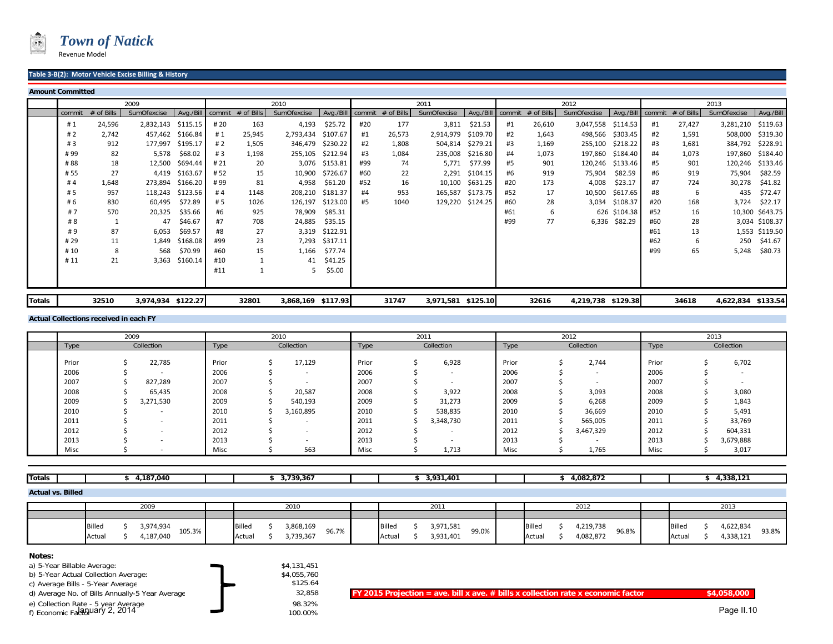

#### **Table 3‐B(2): Motor Vehicle Excise Billing & History**

| <b>Amount Committed</b> |        |              |                    |                  |      |                               |                    |                |        |              |                    |                  |        |              |                    |                  |     |                     |                    |                  |
|-------------------------|--------|--------------|--------------------|------------------|------|-------------------------------|--------------------|----------------|--------|--------------|--------------------|------------------|--------|--------------|--------------------|------------------|-----|---------------------|--------------------|------------------|
|                         |        |              | 2009               |                  |      |                               | 2010               |                |        |              | 2011               |                  |        |              | 2012               |                  |     |                     | 2013               |                  |
|                         | commit | $#$ of Bills | SumOfexcise        |                  |      | Avg./Bill commit $#$ of Bills | SumOfexcise        | Avg./Bill      | commit | $#$ of Bills | SumOfexcise        | Avg./Bill        | commit | $#$ of Bills | SumOfexcise        | Avg./Bill        |     | commit $#$ of Bills | SumOfexcise        | Avg./Bill        |
|                         | #1     | 24,596       | 2,832,143 \$115.15 |                  | # 20 | 163                           | 4,193              | \$25.72        | #20    | 177          | 3,811              | \$21.53          | #1     | 26,610       | 3,047,558 \$114.53 |                  | #1  | 27,427              | 3,281,210          | \$119.63         |
|                         | # 2    | 2,742        |                    | 457,462 \$166.84 | #1   | 25,945                        | 2,793,434          | \$107.67       | #1     | 26,573       | 2,914,979          | \$109.70         | #2     | 1,643        |                    | 498,566 \$303.45 | #2  | 1,591               |                    | 508,000 \$319.30 |
|                         | #3     | 912          | 177,997            | \$195.17         | # 2  | 1,505                         | 346,479            | \$230.22       | #2     | 1,808        | 504,814            | \$279.21         | #3     | 1,169        | 255,100            | \$218.22         | #3  | 1,681               | 384,792            | \$228.91         |
|                         | #99    | 82           | 5,578              | \$68.02          | #3   | 1,198                         | 255,105            | \$212.94       | #3     | 1,084        | 235,008            | \$216.80         | #4     | 1,073        |                    | 197,860 \$184.40 | #4  | 1,073               | 197,860            | \$184.40         |
|                         | #88    | 18           | 12,500             | \$694.44         | # 21 | 20                            |                    | 3,076 \$153.81 | #99    | 74           | 5,771              | \$77.99          | #5     | 901          |                    | 120,246 \$133.46 | #5  | 901                 |                    | 120,246 \$133.46 |
|                         | # 55   | 27           | 4,419              | \$163.67         | # 52 | 15                            | 10,900             | \$726.67       | #60    | 22           | 2,291              | \$104.15         | #6     | 919          | 75,904             | \$82.59          | #6  | 919                 | 75,904             | \$82.59          |
|                         | #4     | 1,648        | 273,894            | \$166.20         | #99  | 81                            | 4,958              | \$61.20        | #52    | 16           | 10,100             | \$631.25         | #20    | 173          | 4,008              | \$23.17          | #7  | 724                 | 30,278             | \$41.82          |
|                         | #5     | 957          | 118,243            | \$123.56         | #4   | 1148                          | 208,210            | \$181.37       | #4     | 953          |                    | 165,587 \$173.75 | #52    | 17           | 10,500             | \$617.65         | #8  | -6                  | 435                | \$72.47          |
|                         | # 6    | 830          | 60,495             | \$72.89          | #5   | 1026                          | 126,197            | \$123.00       | #5     | 1040         |                    | 129,220 \$124.25 | #60    | 28           |                    | 3,034 \$108.37   | #20 | 168                 | 3,724              | \$22.17          |
|                         | #7     | 570          | 20,325             | \$35.66          | #6   | 925                           | 78,909             | \$85.31        |        |              |                    |                  | #61    | 6            |                    | 626 \$104.38     | #52 | 16                  |                    | 10,300 \$643.75  |
|                         | # $8$  |              | 47                 | \$46.67          | #7   | 708                           | 24,885             | \$35.15        |        |              |                    |                  | #99    | 77           |                    | 6,336 \$82.29    | #60 | 28                  |                    | 3,034 \$108.37   |
|                         | #9     | 87           | 6,053              | \$69.57          | #8   | 27                            | 3,319              | \$122.91       |        |              |                    |                  |        |              |                    |                  | #61 | 13                  |                    | 1,553 \$119.50   |
|                         | # 29   | 11           | 1,849              | \$168.08         | #99  | 23                            | 7,293              | \$317.11       |        |              |                    |                  |        |              |                    |                  | #62 | 6                   | 250                | \$41.67          |
|                         | #10    | 8            | 568                | \$70.99          | #60  | 15                            | 1,166              | \$77.74        |        |              |                    |                  |        |              |                    |                  | #99 | 65                  | 5,248              | \$80.73          |
|                         | #11    | 21           | 3,363              | \$160.14         | #10  |                               | 41                 | \$41.25        |        |              |                    |                  |        |              |                    |                  |     |                     |                    |                  |
|                         |        |              |                    |                  | #11  |                               | 5.                 | \$5.00         |        |              |                    |                  |        |              |                    |                  |     |                     |                    |                  |
| <b>Totals</b>           |        | 32510        | 3,974,934 \$122.27 |                  |      | 32801                         | 3,868,169 \$117.93 |                |        | 31747        | 3,971,581 \$125.10 |                  |        | 32616        | 4,219,738 \$129.38 |                  |     | 34618               | 4,622,834 \$133.54 |                  |

#### **Actual Collections received in each FY**

|       | 2009 |                          |       | 2010 |            |       | 2011 |                          |       | 2012 |                          |       | 2013 |                          |
|-------|------|--------------------------|-------|------|------------|-------|------|--------------------------|-------|------|--------------------------|-------|------|--------------------------|
| Type  |      | Collection               | Type  |      | Collection | Type  |      | Collection               | Type  |      | Collection               | Type  |      | Collection               |
|       |      |                          |       |      |            |       |      |                          |       |      |                          |       |      |                          |
| Prior |      | 22,785                   | Prior |      | 17,129     | Prior |      | 6,928                    | Prior |      | 2,744                    | Prior |      | 6,702                    |
| 2006  |      | $\sim$                   | 2006  |      | $\sim$     | 2006  |      | $\overline{\phantom{a}}$ | 2006  |      | $\overline{\phantom{a}}$ | 2006  |      | $\overline{\phantom{a}}$ |
| 2007  |      | 827,289                  | 2007  |      |            | 2007  |      |                          | 2007  |      | $\overline{\phantom{a}}$ | 2007  |      |                          |
| 2008  |      | 65,435                   | 2008  |      | 20,587     | 2008  |      | 3,922                    | 2008  |      | 3,093                    | 2008  |      | 3,080                    |
| 2009  |      | 3,271,530                | 2009  |      | 540,193    | 2009  |      | 31,273                   | 2009  |      | 6,268                    | 2009  |      | 1,843                    |
| 2010  |      |                          | 2010  |      | 3,160,895  | 2010  |      | 538,835                  | 2010  |      | 36,669                   | 2010  |      | 5,491                    |
| 2011  |      |                          | 2011  |      |            | 2011  |      | 3,348,730                | 2011  |      | 565,005                  | 2011  |      | 33,769                   |
| 2012  |      |                          | 2012  |      | $\sim$     | 2012  |      | $\overline{\phantom{a}}$ | 2012  |      | 3,467,329                | 2012  |      | 604,331                  |
| 2013  |      | $\overline{\phantom{a}}$ | 2013  |      | $\sim$     | 2013  |      |                          | 2013  |      | $\sim$                   | 2013  |      | 3,679,888                |
| Misc  |      |                          | Misc  |      | 563        | Misc  |      | 1,713                    | Misc  |      | 1,765                    | Misc  |      | 3,017                    |

| <b>Totals</b> | +,187,040 | 1720.267<br>J7,JU7<br>. | 3.931.401 | 1000072<br>4,082,872 | 4,338,12 |
|---------------|-----------|-------------------------|-----------|----------------------|----------|
|               |           |                         |           |                      |          |

**Actual vs. Billed**

|                         | 2009                   |        |                         | 2010                   |       |                        | 2011                   |       |                 | 2012                   |       |                         | 2013                   |       |
|-------------------------|------------------------|--------|-------------------------|------------------------|-------|------------------------|------------------------|-------|-----------------|------------------------|-------|-------------------------|------------------------|-------|
|                         |                        |        |                         |                        |       |                        |                        |       |                 |                        |       |                         |                        |       |
| <b>Billed</b><br>Actual | 3,974,934<br>1,187,040 | 105.3% | <b>Billed</b><br>Actual | 3,868,169<br>3,739,367 | 96.7% | <b>Billed</b><br>Actua | 3,971,581<br>3,931,401 | 99.0% | Billed<br>Actua | 4,219,738<br>1,082,872 | 96.8% | <b>Billed</b><br>Actual | 4,622,83/<br>4,338,121 | 93.8% |

#### **Notes:**

- 
- a) 5-Year Billable Average: <br>
b) 5-Year Actual Collection Average: <br>
\$4,055,760 \$4,055,760
- 
- c) Average Bills 5-Year Average **125.64**<br>
d) Average No. of Bills Annually-5 Year Average 32,858
- 
- $f$ ) Economic Factor 100.00% (100.00%) and  $f$  100.00%

d) Average No. of Bills Annually-5 Year Average 32,858 **FY 2015 Projection = ave. bill x ave. # bills x collection rate x economic factor \$4,058,000**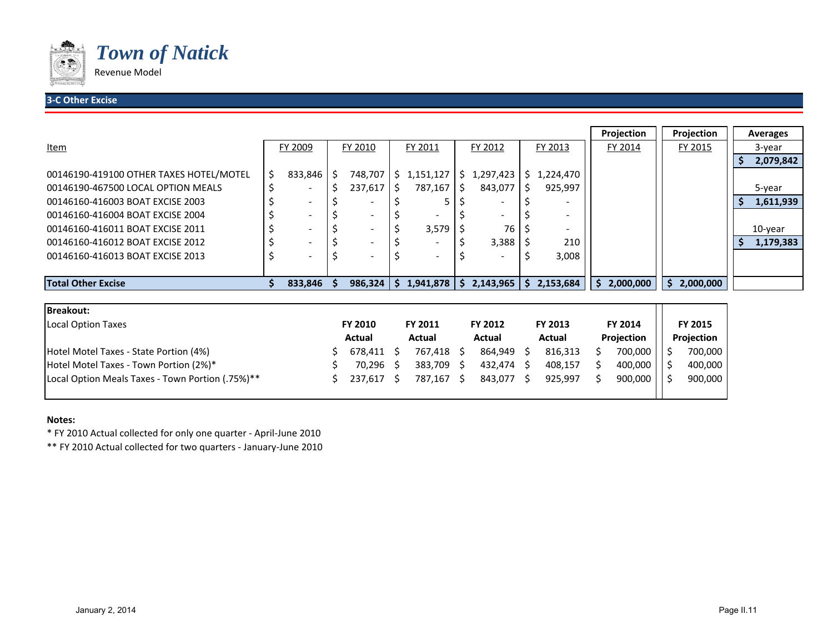

#### **3‐C Other Excise** <sup>40359</sup>

|                                         |   |                          |                          |    |                            |   |                  |          |                          | Projection | Projection     | Averages  |
|-----------------------------------------|---|--------------------------|--------------------------|----|----------------------------|---|------------------|----------|--------------------------|------------|----------------|-----------|
| Item                                    |   | FY 2009                  | FY 2010                  |    | FY 2011                    |   | FY 2012          |          | FY 2013                  | FY 2014    | FY 2015        | 3-year    |
|                                         |   |                          |                          |    |                            |   |                  |          |                          |            |                | 2,079,842 |
| 00146190-419100 OTHER TAXES HOTEL/MOTEL | Ь | $833,846$ \$             | 748,707                  | S  | 1,151,127                  | S | 1,297,423        |          | 1,224,470                |            |                |           |
| 00146190-467500 LOCAL OPTION MEALS      |   | $\overline{\phantom{a}}$ | 237,617                  |    | 787,167                    |   | 843,077          |          | 925,997                  |            |                | 5-year    |
| 00146160-416003 BOAT EXCISE 2003        |   | $\overline{\phantom{a}}$ |                          |    |                            |   |                  |          |                          |            |                | 1,611,939 |
| 00146160-416004 BOAT EXCISE 2004        |   |                          | $\overline{\phantom{0}}$ |    |                            |   |                  |          | $\overline{\phantom{a}}$ |            |                |           |
| 00146160-416011 BOAT EXCISE 2011        |   |                          |                          |    | 3,579                      |   | 76               |          | $\overline{\phantom{0}}$ |            |                | 10-year   |
| 00146160-416012 BOAT EXCISE 2012        |   |                          | $\overline{\phantom{0}}$ |    |                            |   | $3,388$ $\mid$ : |          | 210                      |            |                | 1,179,383 |
| 00146160-416013 BOAT EXCISE 2013        |   |                          | $\overline{\phantom{0}}$ |    |                            |   |                  |          | 3,008                    |            |                |           |
|                                         |   |                          |                          |    |                            |   |                  |          |                          |            |                |           |
| <b>Total Other Excise</b>               |   | 833,846                  | 986,324                  | S. | $1,941,878$   \$ 2,143,965 |   |                  | <b>S</b> | 2,153,684                | 2,000,000  | 2,000,000<br>s |           |

403 | 403 | 403 | 403 | 403 | 403 | 403 | 403 | 403 | 403 | 403 | 403 | 403 | 403 | 403 | 403 | 403 | 403 | 40

| <b>Breakout:</b>                                 |         |                |         |         |            |            |
|--------------------------------------------------|---------|----------------|---------|---------|------------|------------|
| Local Option Taxes                               | FY 2010 | <b>FY 2011</b> | FY 2012 | FY 2013 | FY 2014    | FY 2015    |
|                                                  | Actual  | Actual         | Actual  | Actual  | Projection | Projection |
| Hotel Motel Taxes - State Portion (4%)           | 678.411 | 767,418 \$     | 864,949 | 816.313 | 700,000    | 700,000    |
| Hotel Motel Taxes - Town Portion (2%)*           | 70.296  | 383,709        | 432.474 | 408.157 | 400,000    | 400,000    |
| Local Option Meals Taxes - Town Portion (.75%)** | 237.617 | 787.167        | 843,077 | 925.997 | 900,000    | 900,000    |
|                                                  |         |                |         |         |            |            |

#### **Notes:**

\* FY 2010 Actual collected for only one quarter ‐ April‐June 2010

\*\* FY 2010 Actual collected for two quarters ‐ January‐June 2010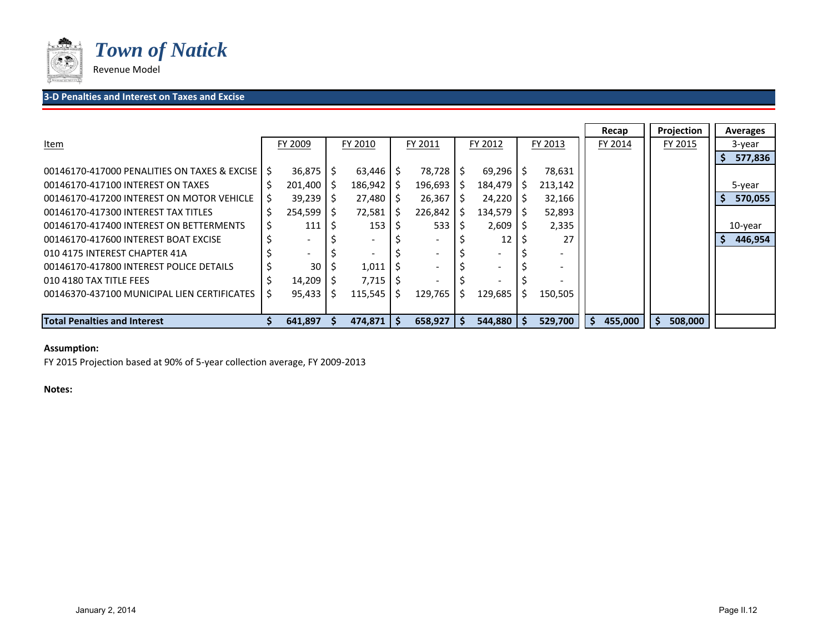

#### **3‐D Penalties and Interest on Taxes and Excise** <sup>40359</sup>

|                                                |   |                          |                          |          |               |         |   |         | Recap   | Projection | <b>Averages</b> |
|------------------------------------------------|---|--------------------------|--------------------------|----------|---------------|---------|---|---------|---------|------------|-----------------|
| Item                                           |   | FY 2009                  | FY 2010                  |          | FY 2011       | FY 2012 |   | FY 2013 | FY 2014 | FY 2015    | 3-year          |
|                                                |   |                          |                          |          |               |         |   |         |         |            | 577,836         |
| 00146170-417000 PENALITIES ON TAXES & EXCISE I | S | $36,875$ $\mid$ \$       | 63,446                   | l S      | $78,728$ \$   | 69,296  | S | 78,631  |         |            |                 |
| 00146170-417100 INTEREST ON TAXES              |   | $201.400$ S              | 186,942                  | S        | 196,693       | 184,479 |   | 213,142 |         |            | 5-year          |
| 00146170-417200 INTEREST ON MOTOR VEHICLE      |   | $39,239$ $\sqrt{5}$      | 27,480                   | S        | $26,367$   \$ | 24,220  |   | 32,166  |         |            | 570,055         |
| 00146170-417300 INTEREST TAX TITLES            |   | $254,599$ \$             | 72,581                   | S        | 226,842       | 134,579 |   | 52,893  |         |            |                 |
| 00146170-417400 INTEREST ON BETTERMENTS        |   | 111                      | 153                      |          | 533 l         | 2,609   |   | 2,335   |         |            | 10-year         |
| 00146170-417600 INTEREST BOAT EXCISE           |   | $\overline{\phantom{0}}$ | $\overline{\phantom{0}}$ |          | ۰             | 12      |   | 27      |         |            | 446,954         |
| 010 4175 INTEREST CHAPTER 41A                  |   |                          |                          |          |               |         |   |         |         |            |                 |
| 00146170-417800 INTEREST POLICE DETAILS        |   | 30                       | 1,011                    |          |               |         |   |         |         |            |                 |
| 010 4180 TAX TITLE FEES                        |   | 14,209                   | 7,715                    |          |               |         |   |         |         |            |                 |
| 00146370-437100 MUNICIPAL LIEN CERTIFICATES    |   | 95,433                   | 115,545                  | S        | 129,765       | 129,685 |   | 150,505 |         |            |                 |
|                                                |   |                          |                          |          |               |         |   |         |         |            |                 |
| <b>Total Penalties and Interest</b>            |   | 641,897                  | 474.871                  | <b>S</b> | 658,927       | 544.880 |   | 529.700 | 455.000 | 508,000    |                 |

40360

#### **Assumption:**

FY 2015 Projection based at 90% of 5‐year collection average, FY 2009‐2013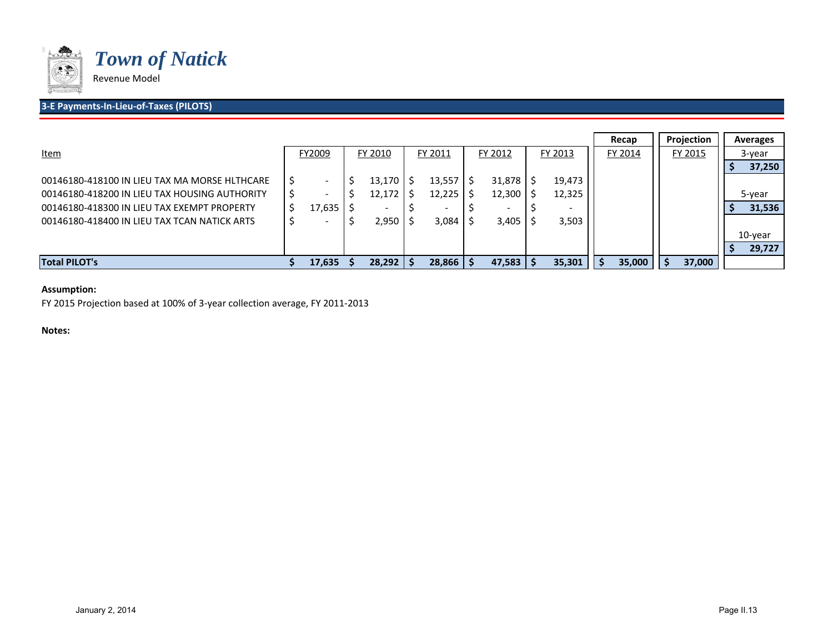

## **3‐E Payments‐In‐Lieu‐of‐Taxes (PILOTS)** <sup>40359</sup>

|                                               |        |         |    |         |    |         |         | Recap   | Projection | <b>Averages</b> |
|-----------------------------------------------|--------|---------|----|---------|----|---------|---------|---------|------------|-----------------|
| <u>Item</u>                                   | FY2009 | FY 2010 |    | FY 2011 |    | FY 2012 | FY 2013 | FY 2014 | FY 2015    | 3-year          |
|                                               |        |         |    |         |    |         |         |         |            | 37,250          |
| 00146180-418100 IN LIEU TAX MA MORSE HLTHCARE |        | 13,170  | -S | 13,557  | -S | 31,878  | 19,473  |         |            |                 |
| 00146180-418200 IN LIEU TAX HOUSING AUTHORITY |        | 12,172  | 5  | 12,225  |    | 12,300  | 12,325  |         |            | 5-year          |
| 00146180-418300 IN LIEU TAX EXEMPT PROPERTY   | 17,635 |         |    |         |    |         |         |         |            | 31,536          |
| 00146180-418400 IN LIEU TAX TCAN NATICK ARTS  |        | 2,950   |    | 3,084   |    | 3,405   | 3,503   |         |            |                 |
|                                               |        |         |    |         |    |         |         |         |            | 10-year         |
|                                               |        |         |    |         |    |         |         |         |            | 29,727          |
| <b>Total PILOT's</b>                          | 17,635 | 28,292  |    | 28,866  |    | 47,583  | 35,301  | 35,000  | 37,000     |                 |

#### **Assumption:**

FY 2015 Projection based at 100% of 3‐year collection average, FY 2011‐2013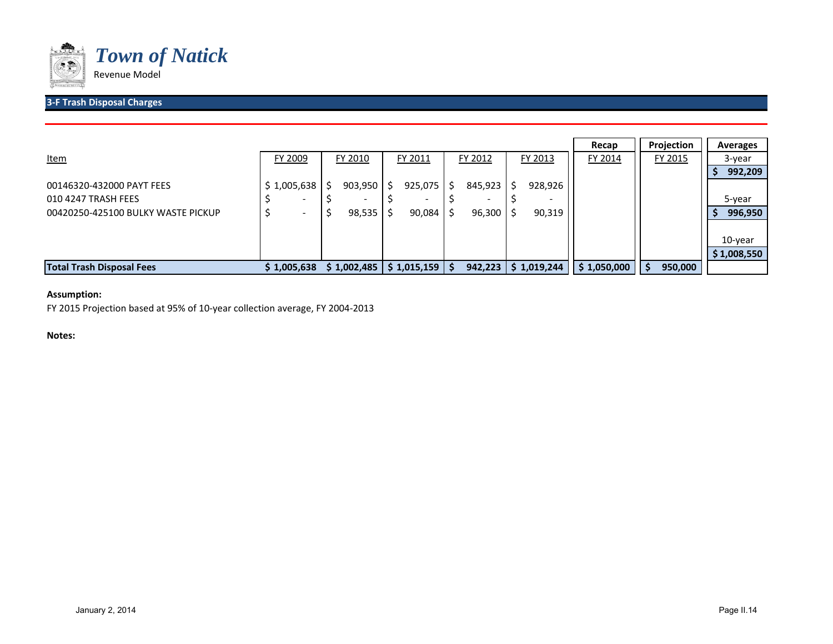

#### **3‐F Trash Disposal Charges**

|                                    |             |                        |                           |                   |                          | Recap       | Projection | <b>Averages</b> |
|------------------------------------|-------------|------------------------|---------------------------|-------------------|--------------------------|-------------|------------|-----------------|
| <u>Item</u>                        | FY 2009     | FY 2010                | FY 2011                   | FY 2012           | FY 2013                  | FY 2014     | FY 2015    | 3-year          |
|                                    |             |                        |                           |                   |                          |             |            | 992,209         |
| 00146320-432000 PAYT FEES          | \$1,005,638 | 903,950                | 925,075<br>IS.            | $845,923$ S<br>S. | 928,926                  |             |            |                 |
| 010 4247 TRASH FEES                |             |                        |                           |                   | $\overline{\phantom{0}}$ |             |            | 5-year          |
| 00420250-425100 BULKY WASTE PICKUP |             | $98,535$ $\frac{1}{5}$ | 90,084                    | 96,300            | 90,319                   |             |            | 996,950         |
|                                    |             |                        |                           |                   |                          |             |            |                 |
|                                    |             |                        |                           |                   |                          |             |            | 10-year         |
|                                    |             |                        |                           |                   |                          |             |            | \$1,008,550     |
| <b>Total Trash Disposal Fees</b>   | \$1,005,638 |                        | $$1,002,485$ $$1,015,159$ | 942,223           | \$1,019,244              | \$1,050,000 | 950,000    |                 |

#### **Assumption:**

FY 2015 Projection based at 95% of 10‐year collection average, FY 2004‐2013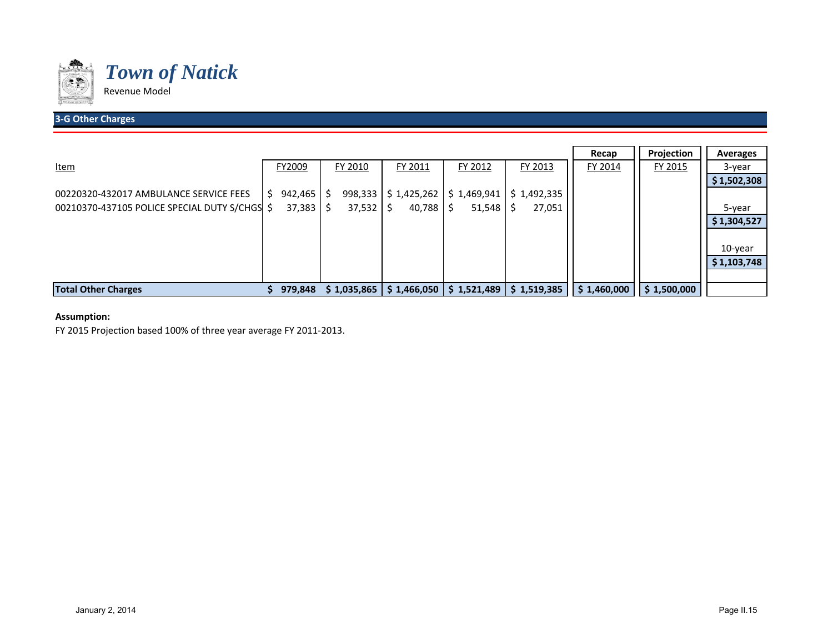

## **3‐G Other Charges** <sup>40359</sup>

|                                               |                                |             |                                       |                  |             | Recap       | Projection  | Averages    |
|-----------------------------------------------|--------------------------------|-------------|---------------------------------------|------------------|-------------|-------------|-------------|-------------|
| Item                                          | FY2009                         | FY 2010     | FY 2011                               | FY 2012          | FY 2013     | FY 2014     | FY 2015     | 3-year      |
|                                               |                                |             |                                       |                  |             |             |             | \$1,502,308 |
| 00220320-432017 AMBULANCE SERVICE FEES        | $942,465$ $\frac{1}{5}$<br>-\$ |             | $998,333$   \$1,425,262   \$1,469,941 |                  | \$1,492,335 |             |             |             |
| 00210370-437105 POLICE SPECIAL DUTY S/CHGS \$ | $37,383$ $\frac{1}{5}$         | 37,532      | $40,788$ S<br>l S                     | 51,548           | 27,051      |             |             | 5-year      |
|                                               |                                |             |                                       |                  |             |             |             | \$1,304,527 |
|                                               |                                |             |                                       |                  |             |             |             |             |
|                                               |                                |             |                                       |                  |             |             |             | 10-year     |
|                                               |                                |             |                                       |                  |             |             |             | \$1,103,748 |
|                                               |                                |             |                                       |                  |             |             |             |             |
| <b>Total Other Charges</b>                    | 979,848                        | \$1,035,865 | \$1,466,050                           | 1,521,489<br>\$. | \$1,519,385 | \$1,460,000 | \$1,500,000 |             |

403 | 403 | 403 | 403 | 403 | 403 | 403 | 403 | 403 | 403 | 403 | 403 | 403 | 403 | 403 | 403 | 403 | 403 | 40<br>|-

## **Assumption:**

FY 2015 Projection based 100% of three year average FY 2011‐2013.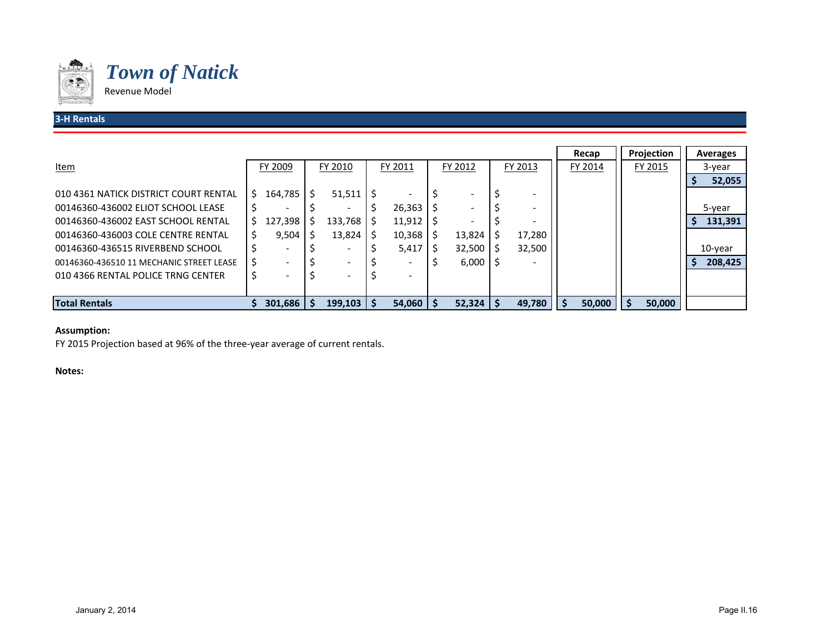

#### **3‐HRentals** 40359 **PM Rentals** 40359 **PM Rentals**

|                                          |                                       |                    |                          |               |         | Recap   | Projection | <b>Averages</b> |  |
|------------------------------------------|---------------------------------------|--------------------|--------------------------|---------------|---------|---------|------------|-----------------|--|
| <u>Item</u>                              | FY 2009                               | FY 2010            | FY 2011                  | FY 2012       | FY 2013 | FY 2014 | FY 2015    | 3-year          |  |
|                                          |                                       |                    |                          |               |         |         |            | 52,055          |  |
| 010 4361 NATICK DISTRICT COURT RENTAL    | $164,785$ $\overline{\phantom{1}}$ \$ | $51,511$ $\mid$ \$ |                          |               |         |         |            |                 |  |
| 00146360-436002 ELIOT SCHOOL LEASE       |                                       |                    | 26,363                   |               |         |         |            | 5-year          |  |
| 00146360-436002 EAST SCHOOL RENTAL       | 127,398                               | $133,768$ S        | 11,912                   |               |         |         |            | 131,391         |  |
| 00146360-436003 COLE CENTRE RENTAL       | 9,504                                 | $13.824$ S         | 10,368                   | 13,824        | 17.280  |         |            |                 |  |
| 00146360-436515 RIVERBEND SCHOOL         |                                       |                    | 5,417                    | $32,500$ S    | 32,500  |         |            | $10$ -year      |  |
| 00146360-436510 11 MECHANIC STREET LEASE |                                       |                    | -                        | $6,000$   \$  |         |         |            | 208,425         |  |
| 010 4366 RENTAL POLICE TRNG CENTER       |                                       |                    | $\overline{\phantom{a}}$ |               |         |         |            |                 |  |
|                                          |                                       |                    |                          |               |         |         |            |                 |  |
| <b>Total Rentals</b>                     | $301,686$   \$                        | 199,103            | 54,060                   | $52,324$   \$ | 49,780  | 50,000  | 50,000     |                 |  |

403 | 403 | 403 | 403 | 403 | 403 | 403 | 403 | 403 | 403 | 403 | 403 | 403 | 403 | 403 | 403 | 403 | 403 | 40<br>|-

#### **Assumption:**

FY 2015 Projection based at 96% of the three‐year average of current rentals.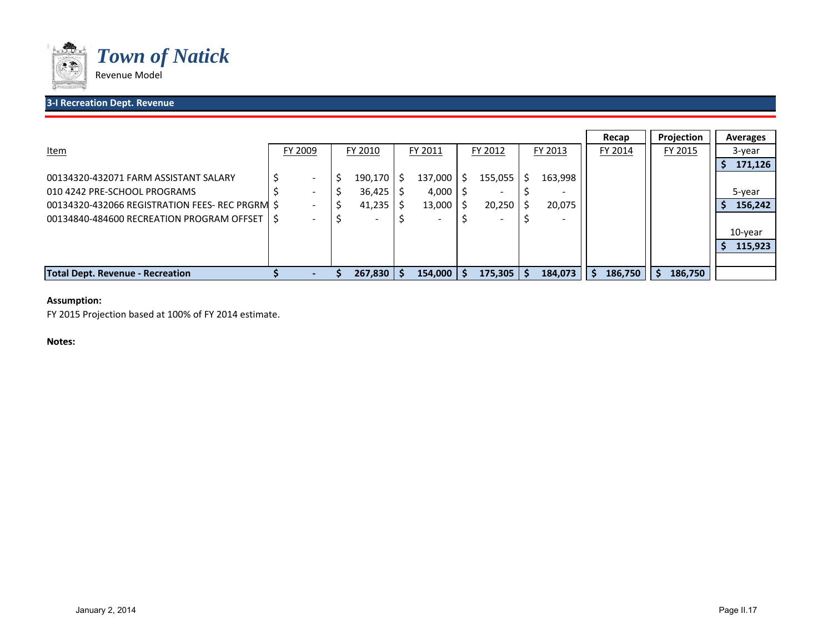

## **3‐I Recreation Dept. Revenue** <sup>40359</sup>

|                                                 |         |                          |         |     |                          |   |         |               |         | Recap   | Projection | <b>Averages</b> |         |
|-------------------------------------------------|---------|--------------------------|---------|-----|--------------------------|---|---------|---------------|---------|---------|------------|-----------------|---------|
| <u>Item</u>                                     | FY 2009 |                          | FY 2010 |     | FY 2011                  |   | FY 2012 |               | FY 2013 | FY 2014 | FY 2015    | 3-year          |         |
|                                                 |         |                          |         |     |                          |   |         |               |         |         |            |                 | 171,126 |
| 00134320-432071 FARM ASSISTANT SALARY           |         | $\overline{\phantom{a}}$ | 190,170 | כ ו | 137,000                  | S | 155,055 | $\mathcal{L}$ | 163,998 |         |            |                 |         |
| 010 4242 PRE-SCHOOL PROGRAMS                    |         | $\overline{\phantom{0}}$ | 36,425  |     | $4,000$   \$             |   |         |               |         |         |            | 5-year          |         |
| 00134320-432066 REGISTRATION FEES- REC PRGRM \$ |         | $\overline{\phantom{a}}$ | 41,235  |     | 13,000                   |   | 20,250  | э             | 20,075  |         |            |                 | 156,242 |
| 00134840-484600 RECREATION PROGRAM OFFSET 1 \$  |         | $\overline{\phantom{a}}$ |         |     | $\overline{\phantom{0}}$ |   |         |               |         |         |            |                 |         |
|                                                 |         |                          |         |     |                          |   |         |               |         |         |            | 10-year         |         |
|                                                 |         |                          |         |     |                          |   |         |               |         |         |            |                 | 115,923 |
|                                                 |         |                          |         |     |                          |   |         |               |         |         |            |                 |         |
| <b>Total Dept. Revenue - Recreation</b>         |         |                          | 267,830 |     | $154,000$   \$           |   | 175,305 |               | 184,073 | 186,750 | 186,750    |                 |         |

40360

#### **Assumption:**

FY 2015 Projection based at 100% of FY 2014 estimate.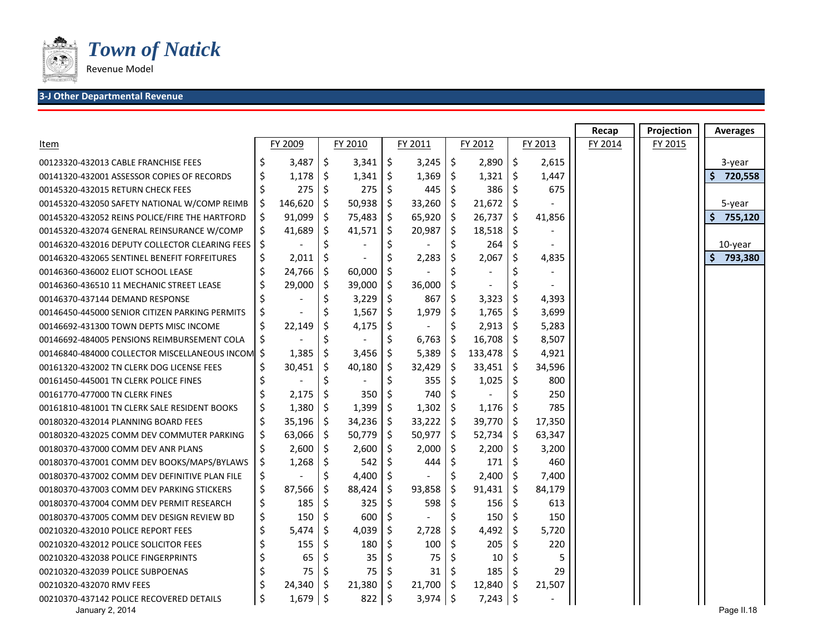

Revenue Model

## **3‐J Other Departmental Revenue** <sup>40359</sup>

|                                                             |                |              |         |            |     |            |     |         | Recap   | Projection | <b>Averages</b> |
|-------------------------------------------------------------|----------------|--------------|---------|------------|-----|------------|-----|---------|---------|------------|-----------------|
| Item                                                        | FY 2009        | FY 2010      |         | FY 2011    |     | FY 2012    |     | FY 2013 | FY 2014 | FY 2015    |                 |
| 00123320-432013 CABLE FRANCHISE FEES                        | \$<br>3,487    | \$<br>3,341  | \$      | 3,245      | \$  | 2,890      | \$  | 2,615   |         |            | 3-year          |
| 00141320-432001 ASSESSOR COPIES OF RECORDS                  | \$<br>1,178    | \$<br>1,341  | \$      | 1,369      | \$  | 1,321      | \$  | 1,447   |         |            | Ś<br>720,558    |
| 00145320-432015 RETURN CHECK FEES                           | \$<br>275      | \$<br>275    | \$      | 445        | \$  | 386        | \$  | 675     |         |            |                 |
| 00145320-432050 SAFETY NATIONAL W/COMP REIMB                | \$<br>146,620  | \$<br>50,938 | \$      | 33,260     | \$  | 21,672     | \$  |         |         |            | 5-year          |
| 00145320-432052 REINS POLICE/FIRE THE HARTFORD              | \$<br>91,099   | \$<br>75,483 | \$      | 65,920     | \$  | 26,737     | \$  | 41,856  |         |            | S<br>755,120    |
| 00145320-432074 GENERAL REINSURANCE W/COMP                  | \$<br>41,689   | \$<br>41,571 | \$      | 20,987     | \$  | 18,518     | \$  |         |         |            |                 |
| 00146320-432016 DEPUTY COLLECTOR CLEARING FEES              | \$             | \$           | \$      |            | \$  | 264        | \$  |         |         |            | 10-year         |
| 00146320-432065 SENTINEL BENEFIT FORFEITURES                | \$<br>2,011    | \$           |         | 2,283      | \$  | 2,067      | \$  | 4,835   |         |            | Ś<br>793,380    |
| 00146360-436002 ELIOT SCHOOL LEASE                          | \$<br>24,766   | \$<br>60,000 | \$      |            | \$  |            |     |         |         |            |                 |
| 00146360-436510 11 MECHANIC STREET LEASE                    | \$<br>29,000   | \$<br>39,000 | $\zeta$ | 36,000     | \$  |            | S   |         |         |            |                 |
| 00146370-437144 DEMAND RESPONSE                             | \$             | \$<br>3,229  | \$      | 867        | \$  | 3,323      | \$  | 4,393   |         |            |                 |
| 00146450-445000 SENIOR CITIZEN PARKING PERMITS              | \$             | \$<br>1,567  | \$      | 1,979      | \$  | 1,765      | \$  | 3,699   |         |            |                 |
| 00146692-431300 TOWN DEPTS MISC INCOME                      | \$<br>22,149   | \$<br>4,175  | \$      |            | \$  | 2,913      | \$  | 5,283   |         |            |                 |
| 00146692-484005 PENSIONS REIMBURSEMENT COLA                 | \$             | \$           | Ś       | 6,763      | Ş   | 16,708     | \$  | 8,507   |         |            |                 |
| 00146840-484000 COLLECTOR MISCELLANEOUS INCOM               | \$<br>1,385    | \$<br>3,456  | \$      | 5,389      | \$  | 133,478    | \$  | 4,921   |         |            |                 |
| 00161320-432002 TN CLERK DOG LICENSE FEES                   | \$<br>30,451   | \$<br>40,180 | \$      | 32,429     | \$  | 33,451     | \$  | 34,596  |         |            |                 |
| 00161450-445001 TN CLERK POLICE FINES                       | \$             | \$           | \$      | 355        | \$  | 1,025      | \$  | 800     |         |            |                 |
| 00161770-477000 TN CLERK FINES                              | \$<br>2,175    | \$<br>350    | -\$     | 740        | \$  |            | \$  | 250     |         |            |                 |
| 00161810-481001 TN CLERK SALE RESIDENT BOOKS                | \$<br>1,380    | \$<br>1,399  | \$      | 1,302      | \$  | 1,176      | \$  | 785     |         |            |                 |
| 00180320-432014 PLANNING BOARD FEES                         | \$<br>35,196   | \$<br>34,236 | \$      | 33,222     | \$  | 39,770     | \$  | 17,350  |         |            |                 |
| 00180320-432025 COMM DEV COMMUTER PARKING                   | \$<br>63,066   | \$<br>50,779 | $\zeta$ | 50,977     | \$  | 52,734     | \$  | 63,347  |         |            |                 |
| 00180370-437000 COMM DEV ANR PLANS                          | \$<br>2,600    | \$<br>2,600  | \$      | 2,000      | \$  | 2,200      | \$  | 3,200   |         |            |                 |
| 00180370-437001 COMM DEV BOOKS/MAPS/BYLAWS                  | \$<br>1,268    | \$<br>542    | \$      | 444        | \$  | 171        | \$  | 460     |         |            |                 |
| 00180370-437002 COMM DEV DEFINITIVE PLAN FILE               | \$             | \$<br>4,400  | \$      |            | \$  | 2,400      | \$  | 7,400   |         |            |                 |
| 00180370-437003 COMM DEV PARKING STICKERS                   | \$<br>87,566   | \$<br>88,424 | \$      | 93,858     | Ś   | 91,431     | \$. | 84,179  |         |            |                 |
| 00180370-437004 COMM DEV PERMIT RESEARCH                    | \$<br>185      | \$<br>325    | \$      | 598        | \$  | 156        | \$  | 613     |         |            |                 |
| 00180370-437005 COMM DEV DESIGN REVIEW BD                   | \$<br>150      | \$<br>600    | .S      |            | Ś   | 150        | \$  | 150     |         |            |                 |
| 00210320-432010 POLICE REPORT FEES                          | \$<br>5,474    | \$<br>4,039  | \$      | 2,728      |     | 4,492      | \$  | 5,720   |         |            |                 |
| 00210320-432012 POLICE SOLICITOR FEES                       | \$<br>155      | \$<br>180    | \$      | 100        | \$  | 205        | \$  | 220     |         |            |                 |
| 00210320-432038 POLICE FINGERPRINTS                         | \$<br>65       | \$<br>35     | S       | 75         |     | 10         | \$  | 5       |         |            |                 |
| 00210320-432039 POLICE SUBPOENAS                            | \$<br>75       | \$<br>75     | S       | 31         | \$, | 185        | \$  | 29      |         |            |                 |
| 00210320-432070 RMV FEES                                    | \$<br>24,340   | \$<br>21,380 | \$      | 21,700     | \$  | 12,840     | \$  | 21,507  |         |            |                 |
| 00210370-437142 POLICE RECOVERED DETAILS<br>January 2, 2014 | \$<br>1,679 \$ | $822$ \$     |         | $3,974$ \$ |     | $7,243$ \$ |     |         |         |            | Page II.18      |

40359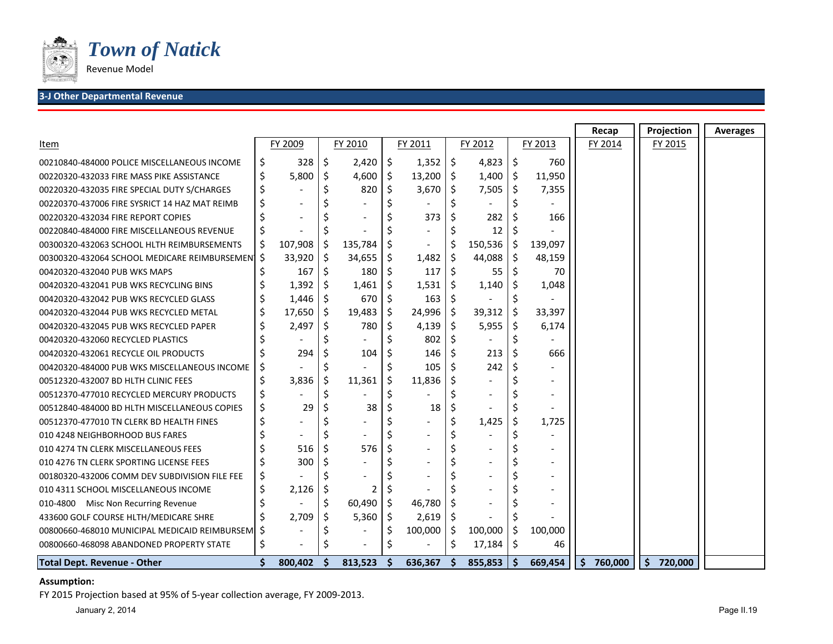

Revenue Model

## **3‐J Other Departmental Revenue** <sup>40359</sup>

|                                               |    |              |     |              |     |                          |     |         |                          |         | Recap     | Projection    | <b>Averages</b> |
|-----------------------------------------------|----|--------------|-----|--------------|-----|--------------------------|-----|---------|--------------------------|---------|-----------|---------------|-----------------|
| Item                                          |    | FY 2009      |     | FY 2010      |     | FY 2011                  |     | FY 2012 |                          | FY 2013 | FY 2014   | FY 2015       |                 |
| 00210840-484000 POLICE MISCELLANEOUS INCOME   | \$ | 328          | \$  | $2,420$ \$   |     | $1,352$ \$               |     | 4,823   | $\vert \mathsf{S} \vert$ | 760     |           |               |                 |
| 00220320-432033 FIRE MASS PIKE ASSISTANCE     | \$ | 5,800        | \$  | 4,600        | \$  | $13,200$ \$              |     | 1,400   | \$                       | 11,950  |           |               |                 |
| 00220320-432035 FIRE SPECIAL DUTY S/CHARGES   | \$ |              | Ś   | 820          | \$  | 3,670                    | -S  | 7,505   |                          | 7,355   |           |               |                 |
| 00220370-437006 FIRE SYSRICT 14 HAZ MAT REIMB | \$ |              |     |              |     |                          |     |         |                          |         |           |               |                 |
| 00220320-432034 FIRE REPORT COPIES            |    |              |     |              |     | 373                      |     | 282     |                          | 166     |           |               |                 |
| 00220840-484000 FIRE MISCELLANEOUS REVENUE    | \$ |              |     |              |     |                          |     | 12      |                          |         |           |               |                 |
| 00300320-432063 SCHOOL HLTH REIMBURSEMENTS    | \$ | 107,908      | \$  | 135,784      | \$  | $\overline{\phantom{a}}$ |     | 150,536 | \$                       | 139,097 |           |               |                 |
| 00300320-432064 SCHOOL MEDICARE REIMBURSEMEN  | -Ş | 33,920       | \$  | 34,655       | \$. | 1,482                    |     | 44,088  | \$.                      | 48,159  |           |               |                 |
| 00420320-432040 PUB WKS MAPS                  |    | 167          | \$  | 180          | Ŝ.  | 117                      | \$  | 55      |                          | 70      |           |               |                 |
| 00420320-432041 PUB WKS RECYCLING BINS        |    | 1,392        | \$. | 1,461        | -Ś  | 1,531                    | -S  | 1,140   |                          | 1,048   |           |               |                 |
| 00420320-432042 PUB WKS RECYCLED GLASS        |    | 1,446        | \$  | 670          | Ŝ.  | 163                      | -S  |         |                          |         |           |               |                 |
| 00420320-432044 PUB WKS RECYCLED METAL        | \$ | 17,650       | \$. | 19,483       | \$. | 24,996                   | -\$ | 39,312  | \$                       | 33,397  |           |               |                 |
| 00420320-432045 PUB WKS RECYCLED PAPER        |    | 2,497        | \$  | 780          | Ŝ.  | 4,139                    | \$. | 5,955   | S                        | 6,174   |           |               |                 |
| 00420320-432060 RECYCLED PLASTICS             |    |              |     |              |     | 802                      |     |         |                          |         |           |               |                 |
| 00420320-432061 RECYCLE OIL PRODUCTS          |    | 294          |     | 104          |     | 146                      |     | 213     |                          | 666     |           |               |                 |
| 00420320-484000 PUB WKS MISCELLANEOUS INCOME  | \$ |              | \$  |              |     | 105                      |     | 242     |                          |         |           |               |                 |
| 00512320-432007 BD HLTH CLINIC FEES           |    | 3,836        | S   | 11,361       | \$  | 11,836                   |     |         |                          |         |           |               |                 |
| 00512370-477010 RECYCLED MERCURY PRODUCTS     | \$ |              |     |              |     |                          |     |         |                          |         |           |               |                 |
| 00512840-484000 BD HLTH MISCELLANEOUS COPIES  | \$ | 29           |     | 38           |     | 18                       |     |         |                          |         |           |               |                 |
| 00512370-477010 TN CLERK BD HEALTH FINES      |    |              | S   |              |     |                          | S   | 1,425   | \$                       | 1,725   |           |               |                 |
| 010 4248 NEIGHBORHOOD BUS FARES               |    |              |     |              |     |                          |     |         |                          |         |           |               |                 |
| 010 4274 TN CLERK MISCELLANEOUS FEES          |    | 516          |     | 576          |     |                          |     |         |                          |         |           |               |                 |
| 010 4276 TN CLERK SPORTING LICENSE FEES       |    | 300          | S   |              |     |                          |     |         |                          |         |           |               |                 |
| 00180320-432006 COMM DEV SUBDIVISION FILE FEE | \$ |              |     |              |     |                          |     |         |                          |         |           |               |                 |
| 010 4311 SCHOOL MISCELLANEOUS INCOME          |    | 2,126        | S   |              |     |                          |     |         |                          |         |           |               |                 |
| 010-4800 Misc Non Recurring Revenue           |    |              | \$  | $60,490$ \$  |     | 46,780                   |     |         |                          |         |           |               |                 |
| 433600 GOLF COURSE HLTH/MEDICARE SHRE         |    | 2,709        | \$  | 5,360        | \$  | 2,619                    | -\$ |         |                          |         |           |               |                 |
| 00800660-468010 MUNICIPAL MEDICAID REIMBURSEM | -S |              | \$  |              | S   | 100,000                  | -\$ | 100,000 | \$                       | 100,000 |           |               |                 |
| 00800660-468098 ABANDONED PROPERTY STATE      | \$ |              | \$  |              | S   |                          | \$  | 17,184  | \$                       | 46      |           |               |                 |
| <b>Total Dept. Revenue - Other</b>            | Ś  | $800,402$ \$ |     | $813,523$ \$ |     | $636,367$ \$             |     | 855,853 | $\ddot{\bm{\zeta}}$      | 669,454 | \$760,000 | \$<br>720,000 |                 |

40359

### **Assumption:**

FY 2015 Projection based at 95% of 5‐year collection average, FY 2009‐2013.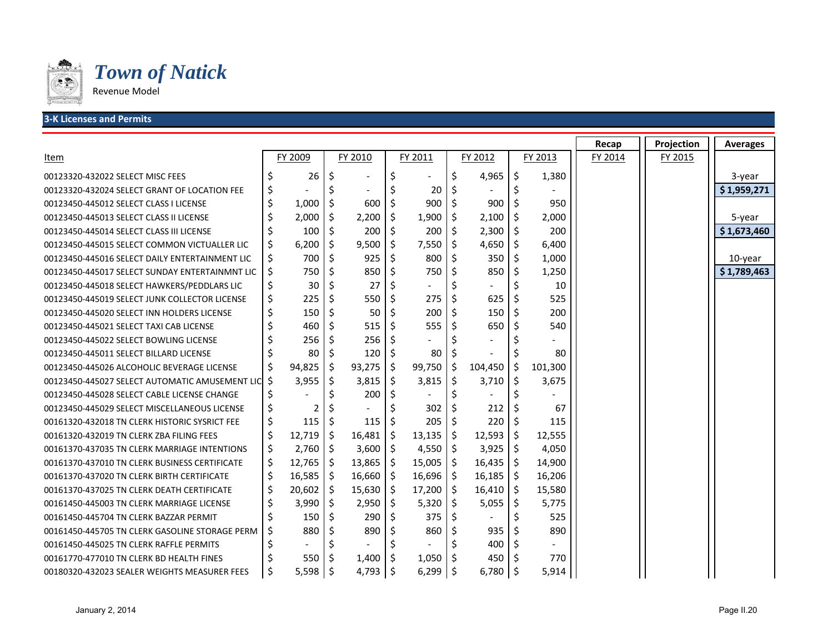

## *Town of Natick*

Revenue Model

## **3‐K Licenses and Permits** <sup>40359</sup>

|                                                |             |                       |     |         |         |         |            |         |         |                | Recap   | Projection | <b>Averages</b> |
|------------------------------------------------|-------------|-----------------------|-----|---------|---------|---------|------------|---------|---------|----------------|---------|------------|-----------------|
| Item                                           |             | FY 2009               |     | FY 2010 |         | FY 2011 |            | FY 2012 |         | FY 2013        | FY 2014 | FY 2015    |                 |
| 00123320-432022 SELECT MISC FEES               |             | 26                    | Ś   |         | \$      |         | \$         | 4,965   | \$      | 1,380          |         |            | 3-year          |
| 00123320-432024 SELECT GRANT OF LOCATION FEE   |             |                       |     |         |         | 20      |            |         |         |                |         |            | \$1,959,271     |
| 00123450-445012 SELECT CLASS I LICENSE         |             | 1,000                 |     | 600     |         | 900     |            | 900     | .S      | 950            |         |            |                 |
| 00123450-445013 SELECT CLASS II LICENSE        |             | 2,000                 | \$  | 2,200   | \$      | 1,900   | \$         | 2,100   | \$      | 2,000          |         |            | 5-year          |
| 00123450-445014 SELECT CLASS III LICENSE       |             | 100                   | \$  | 200     | \$      | 200     | \$         | 2,300   | \$      | 200            |         |            | \$1,673,460     |
| 00123450-445015 SELECT COMMON VICTUALLER LIC   |             | 6,200                 | Ś   | 9,500   | \$      | 7,550   | Ś          | 4,650   | \$      | 6,400          |         |            |                 |
| 00123450-445016 SELECT DAILY ENTERTAINMENT LIC |             | 700                   | Ś.  | 925     | \$      | 800     | Ś          | 350     | \$      | 1,000          |         |            | 10-year         |
| 00123450-445017 SELECT SUNDAY ENTERTAINMNT LIC | \$          | 750                   | Ś   | 850     | Ŝ.      | 750     | Ś          | 850     | -S      | 1,250          |         |            | \$1,789,463     |
| 00123450-445018 SELECT HAWKERS/PEDDLARS LIC    | \$          | 30                    |     | 27      |         |         |            |         |         | 10             |         |            |                 |
| 00123450-445019 SELECT JUNK COLLECTOR LICENSE  | \$          | 225                   |     | 550     | Ŝ       | 275     |            | 625     |         | 525            |         |            |                 |
| 00123450-445020 SELECT INN HOLDERS LICENSE     |             | 150                   | \$  | 50      |         | 200     |            | 150     | -S      | 200            |         |            |                 |
| 00123450-445021 SELECT TAXI CAB LICENSE        |             | 460                   | Ś   | 515     | Ś       | 555     |            | 650     |         | 540            |         |            |                 |
| 00123450-445022 SELECT BOWLING LICENSE         |             | 256                   |     | 256     |         |         |            |         |         | $\overline{a}$ |         |            |                 |
| 00123450-445011 SELECT BILLARD LICENSE         |             | 80                    |     | 120     | S       | 80      |            |         |         | 80             |         |            |                 |
| 00123450-445026 ALCOHOLIC BEVERAGE LICENSE     | \$          | 94,825                | \$  | 93,275  | \$      | 99,750  | Ś          | 104,450 | -\$     | 101,300        |         |            |                 |
| 00123450-445027 SELECT AUTOMATIC AMUSEMENT LIC | -Ś          | 3,955                 | \$  | 3,815   | \$      | 3,815   | \$         | 3,710   | $\zeta$ | 3,675          |         |            |                 |
| 00123450-445028 SELECT CABLE LICENSE CHANGE    | \$          |                       |     | 200     | \$      |         |            |         |         |                |         |            |                 |
| 00123450-445029 SELECT MISCELLANEOUS LICENSE   | \$          | $\overline{2}$        |     |         |         | 302     |            | 212     | -S      | 67             |         |            |                 |
| 00161320-432018 TN CLERK HISTORIC SYSRICT FEE  | \$          | 115                   |     | 115     |         | 205     |            | 220     | -S      | 115            |         |            |                 |
| 00161320-432019 TN CLERK ZBA FILING FEES       | $\varsigma$ | 12,719                | -S  | 16,481  | Ş       | 13,135  | \$         | 12,593  | \$      | 12,555         |         |            |                 |
| 00161370-437035 TN CLERK MARRIAGE INTENTIONS   | \$          | 2,760                 | -\$ | 3,600   | $\zeta$ | 4,550   | $\zeta$    | 3,925   | $\zeta$ | 4,050          |         |            |                 |
| 00161370-437010 TN CLERK BUSINESS CERTIFICATE  | \$          | 12,765                | \$  | 13,865  | \$      | 15,005  | \$         | 16,435  | $\zeta$ | 14,900         |         |            |                 |
| 00161370-437020 TN CLERK BIRTH CERTIFICATE     | \$          | 16,585                | -\$ | 16,660  | \$      | 16,696  | \$         | 16,185  | $\zeta$ | 16,206         |         |            |                 |
| 00161370-437025 TN CLERK DEATH CERTIFICATE     | \$          | 20,602                | \$  | 15,630  | \$      | 17,200  | \$         | 16,410  | $\zeta$ | 15,580         |         |            |                 |
| 00161450-445003 TN CLERK MARRIAGE LICENSE      | \$          | 3,990                 | \$  | 2,950   | \$      | 5,320   | Ś          | 5,055   | \$      | 5,775          |         |            |                 |
| 00161450-445704 TN CLERK BAZZAR PERMIT         |             | 150                   | Ś   | 290     | Ś       | 375     |            |         | Ś.      | 525            |         |            |                 |
| 00161450-445705 TN CLERK GASOLINE STORAGE PERM | $\zeta$     | 880                   | Ş   | 890     | \$.     | 860     | \$         | 935     | -S      | 890            |         |            |                 |
| 00161450-445025 TN CLERK RAFFLE PERMITS        | \$          |                       |     |         |         |         |            | 400     |         | $\overline{a}$ |         |            |                 |
| 00161770-477010 TN CLERK BD HEALTH FINES       |             | 550                   |     | 1,400   | Ŝ.      | 1,050   |            | 450     |         | 770            |         |            |                 |
| 00180320-432023 SEALER WEIGHTS MEASURER FEES   | $\zeta$     | $5,598$ $\frac{1}{5}$ |     | 4,793   | \$      | 6,299   | $\vert$ \$ | 6,780   | -\$     | 5,914          |         |            |                 |

40359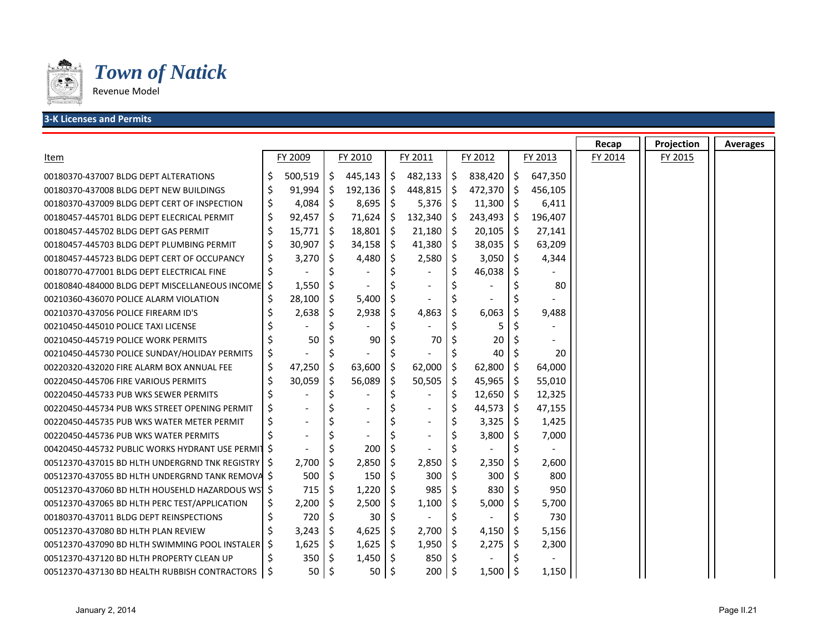

## *Town of Natick*

Revenue Model

## **3‐K Licenses and Permits** <sup>40359</sup>

|                                                     |    |                          |     |                |      |              |               |                          |         | Recap   | Projection | <b>Averages</b> |
|-----------------------------------------------------|----|--------------------------|-----|----------------|------|--------------|---------------|--------------------------|---------|---------|------------|-----------------|
| Item                                                |    | FY 2009                  |     | FY 2010        |      | FY 2011      | FY 2012       |                          | FY 2013 | FY 2014 | FY 2015    |                 |
| 00180370-437007 BLDG DEPT ALTERATIONS               | \$ | 500,519                  | \$  | 445,143        | \$   | 482,133      | \$<br>838,420 | \$                       | 647,350 |         |            |                 |
| 00180370-437008 BLDG DEPT NEW BUILDINGS             | \$ | 91,994                   | \$. | 192,136        | \$   | 448,815      | \$<br>472,370 | \$ ا                     | 456,105 |         |            |                 |
| 00180370-437009 BLDG DEPT CERT OF INSPECTION        |    | 4,084                    | \$  | 8,695          | \$   | 5,376        | \$<br>11,300  | \$ ا                     | 6,411   |         |            |                 |
| 00180457-445701 BLDG DEPT ELECRICAL PERMIT          |    | $92,457$ \$              |     | 71,624         | \$   | 132,340      | \$<br>243,493 | $\vert \mathsf{S} \vert$ | 196,407 |         |            |                 |
| 00180457-445702 BLDG DEPT GAS PERMIT                | \$ | 15,771                   | \$  | 18,801         | \$   | 21,180       | \$<br>20,105  | \$                       | 27,141  |         |            |                 |
| 00180457-445703 BLDG DEPT PLUMBING PERMIT           |    | 30,907                   | Ŝ.  | 34,158         | \$   | 41,380       | \$<br>38,035  | I\$                      | 63,209  |         |            |                 |
| 00180457-445723 BLDG DEPT CERT OF OCCUPANCY         |    | 3,270                    | \$. | 4,480          | \$   | 2,580        | \$<br>3,050   | I\$                      | 4,344   |         |            |                 |
| 00180770-477001 BLDG DEPT ELECTRICAL FINE           | \$ |                          | \$  |                | \$   |              | \$<br>46,038  |                          |         |         |            |                 |
| 00180840-484000 BLDG DEPT MISCELLANEOUS INCOME S    |    | 1,550                    | \$  |                | \$   |              |               |                          | 80      |         |            |                 |
| 00210360-436070 POLICE ALARM VIOLATION              |    | 28,100                   | \$  | 5,400          |      |              | \$            |                          |         |         |            |                 |
| 00210370-437056 POLICE FIREARM ID'S                 |    | 2,638                    | \$. | 2,938          | \$   | 4,863        | \$<br>6,063   |                          | 9,488   |         |            |                 |
| 00210450-445010 POLICE TAXI LICENSE                 |    |                          | S   |                | \$   |              | \$<br>5       |                          |         |         |            |                 |
| 00210450-445719 POLICE WORK PERMITS                 |    | 50                       |     | 90             |      | 70           | 20            |                          |         |         |            |                 |
| 00210450-445730 POLICE SUNDAY/HOLIDAY PERMITS       |    |                          | \$  |                | \$   |              | 40            |                          | 20      |         |            |                 |
| 00220320-432020 FIRE ALARM BOX ANNUAL FEE           | \$ | 47,250                   | \$. | 63,600         | \$   | 62,000       | \$<br>62,800  | 1\$                      | 64,000  |         |            |                 |
| 00220450-445706 FIRE VARIOUS PERMITS                | \$ | 30,059                   | \$  | 56,089         | \$   | 50,505       | \$<br>45,965  | ۱\$                      | 55,010  |         |            |                 |
| 00220450-445733 PUB WKS SEWER PERMITS               |    |                          | \$  |                | \$   |              | \$<br>12,650  | l \$                     | 12,325  |         |            |                 |
| 00220450-445734 PUB WKS STREET OPENING PERMIT       |    | $\blacksquare$           | \$  |                |      |              | \$<br>44,573  | 1\$                      | 47,155  |         |            |                 |
| 00220450-445735 PUB WKS WATER METER PERMIT          |    | $\blacksquare$           | \$  | $\blacksquare$ | \$   |              | 3,325         | l \$                     | 1,425   |         |            |                 |
| 00220450-445736 PUB WKS WATER PERMITS               |    | $\overline{\phantom{a}}$ | \$  |                |      |              | 3,800         |                          | 7,000   |         |            |                 |
| 00420450-445732 PUBLIC WORKS HYDRANT USE PERMIT \$  |    |                          | \$  | 200            |      |              | \$            |                          |         |         |            |                 |
| 00512370-437015 BD HLTH UNDERGRND TNK REGISTRY   \$ |    | 2,700                    | \$  | 2,850          | \$   | 2,850        | \$<br>2,350   | ۱Ş                       | 2,600   |         |            |                 |
| 00512370-437055 BD HLTH UNDERGRND TANK REMOVA \$    |    | 500                      | \$  | 150            |      | 300          | 300           |                          | 800     |         |            |                 |
| 00512370-437060 BD HLTH HOUSEHLD HAZARDOUS WS \$    |    | 715                      | \$. | 1,220          | \$   | 985          | 830           |                          | 950     |         |            |                 |
| 00512370-437065 BD HLTH PERC TEST/APPLICATION       | Ş  | 2,200                    | \$  | 2,500          | \$   | 1,100        | \$<br>5,000   | ۱S                       | 5,700   |         |            |                 |
| 00180370-437011 BLDG DEPT REINSPECTIONS             |    | 720                      | \$  | 30             | \$   |              | \$            |                          | 730     |         |            |                 |
| 00512370-437080 BD HLTH PLAN REVIEW                 |    | 3,243                    | \$. | 4,625          | \$   | 2,700        | \$<br>4,150   | l \$                     | 5,156   |         |            |                 |
| 00512370-437090 BD HLTH SWIMMING POOL INSTALER S    |    | 1,625                    | \$. | 1,625          | \$   | 1,950        | \$<br>2,275   | Ş                        | 2,300   |         |            |                 |
| 00512370-437120 BD HLTH PROPERTY CLEAN UP           |    | 350                      | .S  | 1,450          | Ŝ.   | 850          | \$            |                          |         |         |            |                 |
| 00512370-437130 BD HEALTH RUBBISH CONTRACTORS       |    | $50$   \$                |     | 50             | \$ ا | $200 \mid 5$ | $1,500$ \$    |                          | 1,150   |         |            |                 |

40359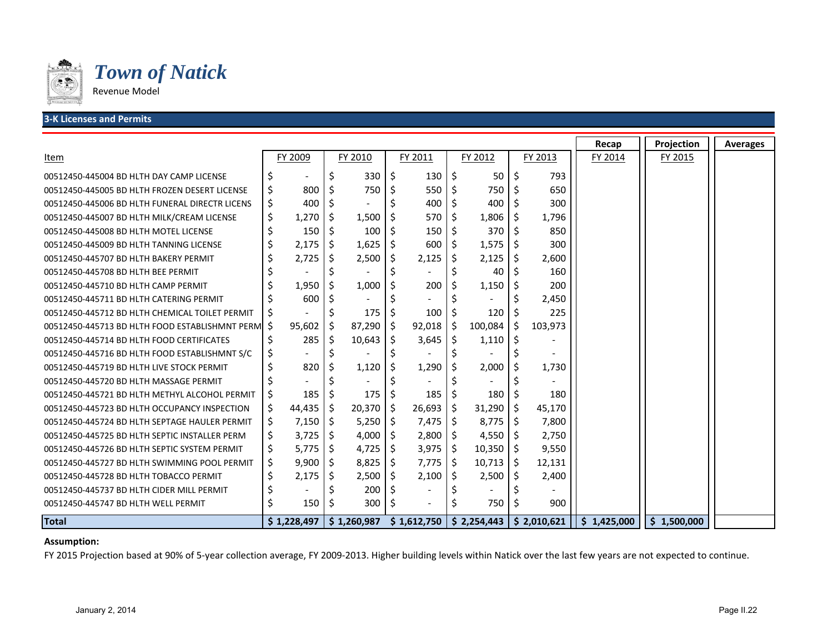



Revenue Model

## **3‐K Licenses and Permits** <sup>40359</sup>

|                                                  |              |      |              |         |                          |              |         |     |         | Recap                                                                                                                                                   | Projection  | <b>Averages</b> |
|--------------------------------------------------|--------------|------|--------------|---------|--------------------------|--------------|---------|-----|---------|---------------------------------------------------------------------------------------------------------------------------------------------------------|-------------|-----------------|
| Item                                             | FY 2009      |      | FY 2010      |         | FY 2011                  |              | FY 2012 |     | FY 2013 | FY 2014                                                                                                                                                 | FY 2015     |                 |
| 00512450-445004 BD HLTH DAY CAMP LICENSE         |              | S    | 330          | -\$     | 130                      | -S           | 50      |     | 793     |                                                                                                                                                         |             |                 |
| 00512450-445005 BD HLTH FROZEN DESERT LICENSE    | 800          |      | 750          | S       | 550                      |              | 750     |     | 650     |                                                                                                                                                         |             |                 |
| 00512450-445006 BD HLTH FUNERAL DIRECTR LICENS   | 400          | -S   |              | \$      | 400                      |              | 400     |     | 300     |                                                                                                                                                         |             |                 |
| 00512450-445007 BD HLTH MILK/CREAM LICENSE       | 1,270        | -S   | 1,500        | -Ś      | 570                      |              | 1,806   |     | 1,796   |                                                                                                                                                         |             |                 |
| 00512450-445008 BD HLTH MOTEL LICENSE            | 150          | -S   | 100          | -S      | 150                      |              | 370     |     | 850     |                                                                                                                                                         |             |                 |
| 00512450-445009 BD HLTH TANNING LICENSE          | 2,175        | 1 \$ | 1,625        | \$      | 600                      | \$           | 1,575   |     | 300     |                                                                                                                                                         |             |                 |
| 00512450-445707 BD HLTH BAKERY PERMIT            | 2,725        |      | 2,500        | S.      | 2,125                    | S            | 2,125   |     | 2,600   |                                                                                                                                                         |             |                 |
| 00512450-445708 BD HLTH BEE PERMIT               |              |      |              |         |                          |              | 40      |     | 160     |                                                                                                                                                         |             |                 |
| 00512450-445710 BD HLTH CAMP PERMIT              | 1,950        |      | 1,000        | \$      | 200                      |              | 1,150   |     | 200     |                                                                                                                                                         |             |                 |
| 00512450-445711 BD HLTH CATERING PERMIT          | 600          | -S   |              |         |                          |              |         |     | 2,450   |                                                                                                                                                         |             |                 |
| 00512450-445712 BD HLTH CHEMICAL TOILET PERMIT   |              |      | 175          |         | 100                      |              | 120     |     | 225     |                                                                                                                                                         |             |                 |
| 00512450-445713 BD HLTH FOOD ESTABLISHMNT PERMIS | 95,602       | -S   | 87,290       | \$      | 92,018                   |              | 100,084 |     | 103,973 |                                                                                                                                                         |             |                 |
| 00512450-445714 BD HLTH FOOD CERTIFICATES        | 285          | -S   | 10,643       | \$.     | 3,645                    | -\$          | 1,110   |     |         |                                                                                                                                                         |             |                 |
| 00512450-445716 BD HLTH FOOD ESTABLISHMNT S/C    |              |      |              | \$      |                          |              |         |     |         |                                                                                                                                                         |             |                 |
| 00512450-445719 BD HLTH LIVE STOCK PERMIT        | 820          |      | 1,120        | \$      | 1,290                    | S            | 2,000   |     | 1,730   |                                                                                                                                                         |             |                 |
| 00512450-445720 BD HLTH MASSAGE PERMIT           |              |      |              | \$      |                          |              |         |     |         |                                                                                                                                                         |             |                 |
| 00512450-445721 BD HLTH METHYL ALCOHOL PERMIT    | 185          |      | 175          | -S      | 185                      |              | 180     |     | 180     |                                                                                                                                                         |             |                 |
| 00512450-445723 BD HLTH OCCUPANCY INSPECTION     | \$<br>44,435 | -S   | 20,370       | -\$     | 26,693                   | \$           | 31,290  | -Ş  | 45,170  |                                                                                                                                                         |             |                 |
| 00512450-445724 BD HLTH SEPTAGE HAULER PERMIT    | \$<br>7,150  | 1 S  | $5,250$   \$ |         | 7,475                    | Ŝ.           | 8,775   | \$  | 7,800   |                                                                                                                                                         |             |                 |
| 00512450-445725 BD HLTH SEPTIC INSTALLER PERM    | $3,725$   \$ |      | $4,000$ \$   |         | 2,800                    | l \$         | 4,550   | -S  | 2,750   |                                                                                                                                                         |             |                 |
| 00512450-445726 BD HLTH SEPTIC SYSTEM PERMIT     | 5,775        | -S   | 4,725        | $\zeta$ | 3,975                    | Ŝ.           | 10,350  | -\$ | 9,550   |                                                                                                                                                         |             |                 |
| 00512450-445727 BD HLTH SWIMMING POOL PERMIT     | \$<br>9,900  | 1 S  | 8,825        | \$      | 7,775                    | <sub>S</sub> | 10,713  | Ş   | 12,131  |                                                                                                                                                         |             |                 |
| 00512450-445728 BD HLTH TOBACCO PERMIT           | 2,175        | -S   | 2,500        | -\$     | 2,100                    | -\$          | 2,500   | -S  | 2,400   |                                                                                                                                                         |             |                 |
| 00512450-445737 BD HLTH CIDER MILL PERMIT        |              |      | 200          | -Ś      |                          |              |         |     |         |                                                                                                                                                         |             |                 |
| 00512450-445747 BD HLTH WELL PERMIT              | 150          | -S   | 300          | -Ş      | $\overline{\phantom{a}}$ |              | 750     |     | 900     |                                                                                                                                                         |             |                 |
| <b>Total</b>                                     |              |      |              |         |                          |              |         |     |         | $\frac{1}{2}$ 1,228,497   $\frac{1}{2}$ 1,260,987 $\frac{1}{2}$ 1,612,750   $\frac{1}{2}$ 2,254,443   $\frac{1}{2}$ 2,010,621   $\frac{1}{2}$ 1,425,000 | \$1,500,000 |                 |

40359

#### **Assumption:**

FY 2015 Projection based at 90% of 5‐year collection average, FY 2009‐2013. Higher building levels within Natick over the last few years are not expected to continue.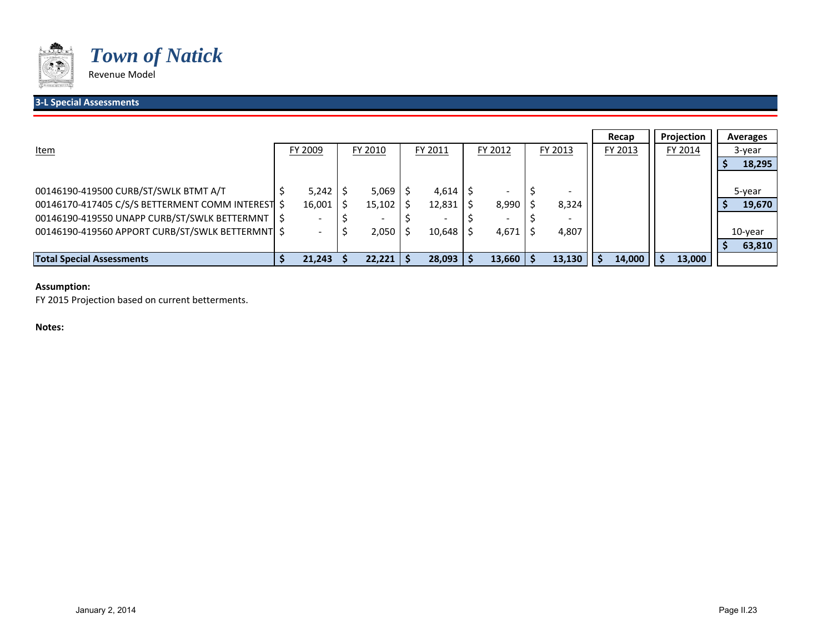

## **3‐L Special Assessments** <sup>40359</sup>

|                                                   |         |                        |            |         |         | Recap   | Projection | <b>Averages</b> |
|---------------------------------------------------|---------|------------------------|------------|---------|---------|---------|------------|-----------------|
| <u>Item</u>                                       | FY 2009 | FY 2010                | FY 2011    | FY 2012 | FY 2013 | FY 2013 | FY 2014    | 3-year          |
|                                                   |         |                        |            |         |         |         |            | 18,295          |
|                                                   |         |                        |            |         |         |         |            |                 |
| 00146190-419500 CURB/ST/SWLK BTMT A/T             | 5,242   | $5,069$   \$           | $4,614$ S  |         |         |         |            | 5-year          |
| 00146170-417405 C/S/S BETTERMENT COMM INTEREST \$ | 16,001  | $15,102$ $\frac{3}{7}$ | 12,831     | 8,990   | 8,324   |         |            | 19,670          |
| 00146190-419550 UNAPP CURB/ST/SWLK BETTERMNT   \$ |         |                        |            |         |         |         |            |                 |
| 00146190-419560 APPORT CURB/ST/SWLK BETTERMNT \$  |         | $2,050$ S              | $10.648$ S | 4,671   | 4,807   |         |            | 10-year         |
|                                                   |         |                        |            |         |         |         |            | 63,810          |
| <b>Total Special Assessments</b>                  | 21.243  | 22,221                 | 28,093     | 13,660  | 13,130  | 14.000  | 13,000     |                 |

40360

#### **Assumption:**

FY 2015 Projection based on current betterments.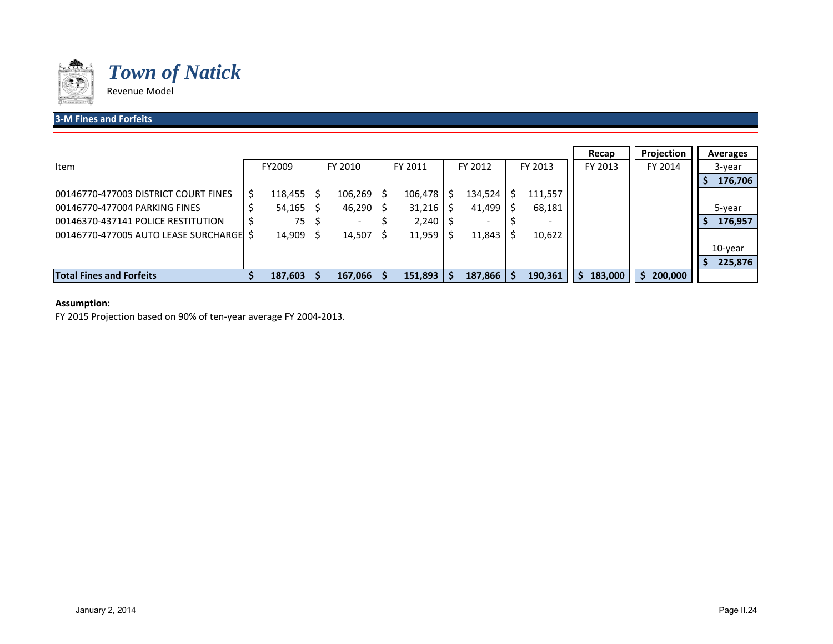

#### **3‐M Fines and Forfeits**

|                                         |         |         |         |                     |    |         | Recap   | Projection | <b>Averages</b> |
|-----------------------------------------|---------|---------|---------|---------------------|----|---------|---------|------------|-----------------|
| Item                                    | FY2009  | FY 2010 | FY 2011 | FY 2012             |    | FY 2013 | FY 2013 | FY 2014    | 3-year          |
|                                         |         |         |         |                     |    |         |         |            | 176,706         |
| 00146770-477003 DISTRICT COURT FINES    | 118,455 | 106,269 | 106,478 | 134,524             |    | 111,557 |         |            |                 |
| 00146770-477004 PARKING FINES           | 54,165  | 46,290  | 31,216  | $41,499$ $\sqrt{5}$ |    | 68,181  |         |            | 5-year          |
| 00146370-437141 POLICE RESTITUTION      | 75 I    | -       | 2,240   |                     |    |         |         |            | 176,957         |
| 00146770-477005 AUTO LEASE SURCHARGE \$ | 14,909  | 14,507  | 11,959  | 11,843              |    | 10,622  |         |            |                 |
|                                         |         |         |         |                     |    |         |         |            | $10$ -year      |
|                                         |         |         |         |                     |    |         |         |            | 225,876         |
| <b>Total Fines and Forfeits</b>         | 187,603 | 167,066 | 151,893 | 187,866             | .s | 190,361 | 183,000 | 200,000    |                 |

## **Assumption:**

FY 2015 Projection based on 90% of ten‐year average FY 2004‐2013.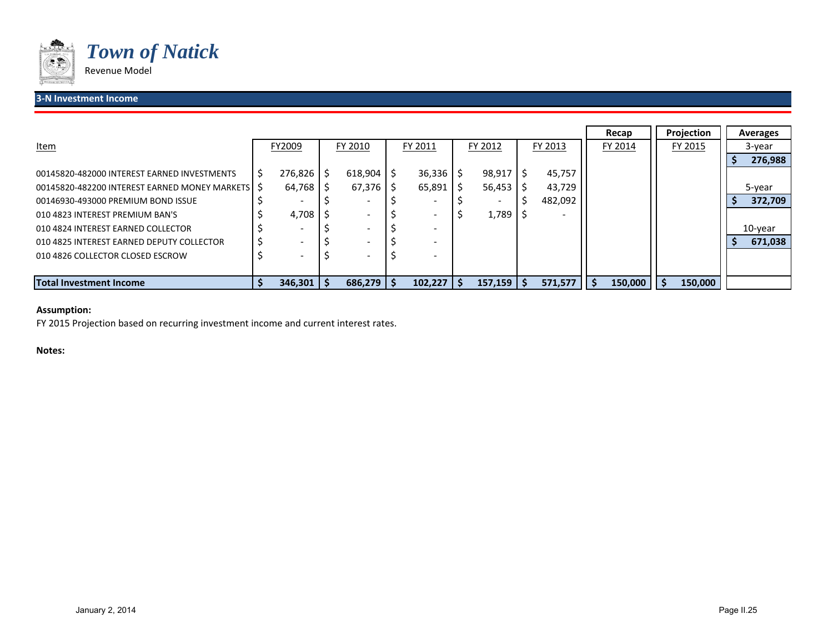

## **3‐N Investment Income** <sup>40359</sup>

|                                                 |   |                    |         |     |                        |         |   |                          | Recap   | Projection | <b>Averages</b> |
|-------------------------------------------------|---|--------------------|---------|-----|------------------------|---------|---|--------------------------|---------|------------|-----------------|
| <b>Item</b>                                     |   | FY2009             | FY 2010 |     | FY 2011                | FY 2012 |   | FY 2013                  | FY 2014 | FY 2015    | 3-year          |
|                                                 |   |                    |         |     |                        |         |   |                          |         |            | 276,988         |
| 00145820-482000 INTEREST EARNED INVESTMENTS     | S | $276,826$   \$     | 618,904 | - S | $36,336$ $\frac{1}{5}$ | 98,917  | 5 | 45,757                   |         |            |                 |
| 00145820-482200 INTEREST EARNED MONEY MARKETS S |   | $64,768$ $\mid$ \$ | 67,376  | -S  | $65,891$   \$          | 56,453  |   | 43,729                   |         |            | 5-year          |
| 00146930-493000 PREMIUM BOND ISSUE              |   |                    |         |     |                        |         |   | 482,092                  |         |            | 372,709         |
| 010 4823 INTEREST PREMIUM BAN'S                 |   | $4,708$ S          |         |     |                        | 1,789   | 5 | $\overline{\phantom{a}}$ |         |            |                 |
| 010 4824 INTEREST EARNED COLLECTOR              |   |                    |         |     | -                      |         |   |                          |         |            | 10-year         |
| 010 4825 INTEREST EARNED DEPUTY COLLECTOR       |   |                    |         |     |                        |         |   |                          |         |            | 671,038         |
| 010 4826 COLLECTOR CLOSED ESCROW                |   |                    |         |     |                        |         |   |                          |         |            |                 |
|                                                 |   |                    |         |     |                        |         |   |                          |         |            |                 |
| Total Investment Income                         |   | $346,301$ \$       | 686,279 | -S  | 102.227                | 157,159 |   | 571,577                  | 150,000 | 150,000    |                 |

403 | 403 | 403 | 403 | 403 | 403 | 403 | 403 | 403 | 403 | 403 | 403 | 403 | 403 | 403 | 403 | 403 | 403 | 40

#### **Assumption:**

FY 2015 Projection based on recurring investment income and current interest rates.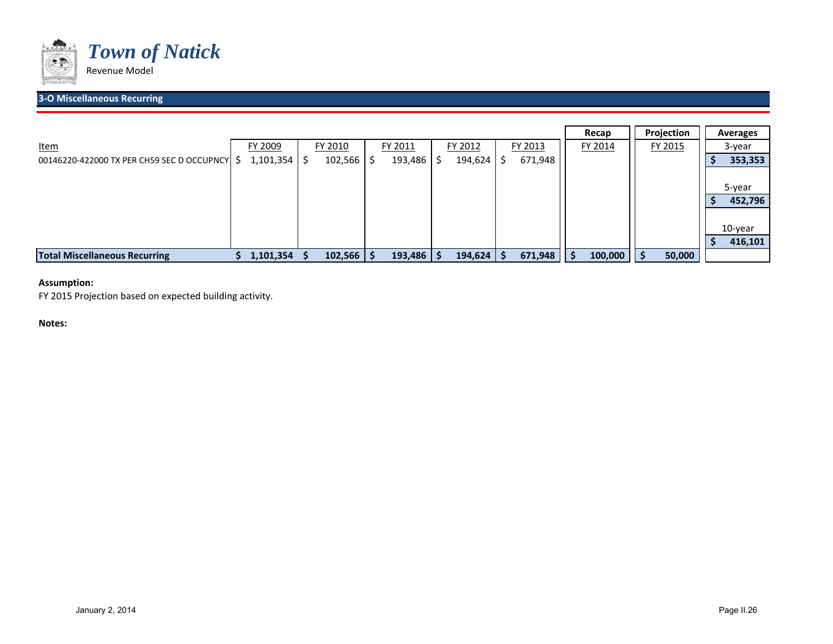

## **3‐O Miscellaneous Recurring** <sup>40359</sup>

|                                              |           |   |         |            |         |    |         | Recap   | Projection | Averages |
|----------------------------------------------|-----------|---|---------|------------|---------|----|---------|---------|------------|----------|
| <u>Item</u>                                  | FY 2009   |   | FY 2010 | FY 2011    | FY 2012 |    | FY 2013 | FY 2014 | FY 2015    | 3-year   |
| 00146220-422000 TX PER CH59 SEC D OCCUPNCY S | 1,101,354 | S | 102,566 | 193,486 \$ | 194,624 | -S | 671,948 |         |            | 353,353  |
|                                              |           |   |         |            |         |    |         |         |            |          |
|                                              |           |   |         |            |         |    |         |         |            | 5-year   |
|                                              |           |   |         |            |         |    |         |         |            | 452,796  |
|                                              |           |   |         |            |         |    |         |         |            |          |
|                                              |           |   |         |            |         |    |         |         |            | 10-year  |
|                                              |           |   |         |            |         |    |         |         |            | 416,101  |
| <b>Total Miscellaneous Recurring</b>         | 1,101,354 |   | 102,566 | 193,486    | 194,624 | -S | 671,948 | 100,000 | 50,000     |          |

403 | 403 | 403 | 403 | 403 | 403 | 403 | 403 | 403 | 403 | 403 | 403 | 403 | 403 | 403 | 403 | 403 | 403 | 40

## **Assumption:**

FY 2015 Projection based on expected building activity.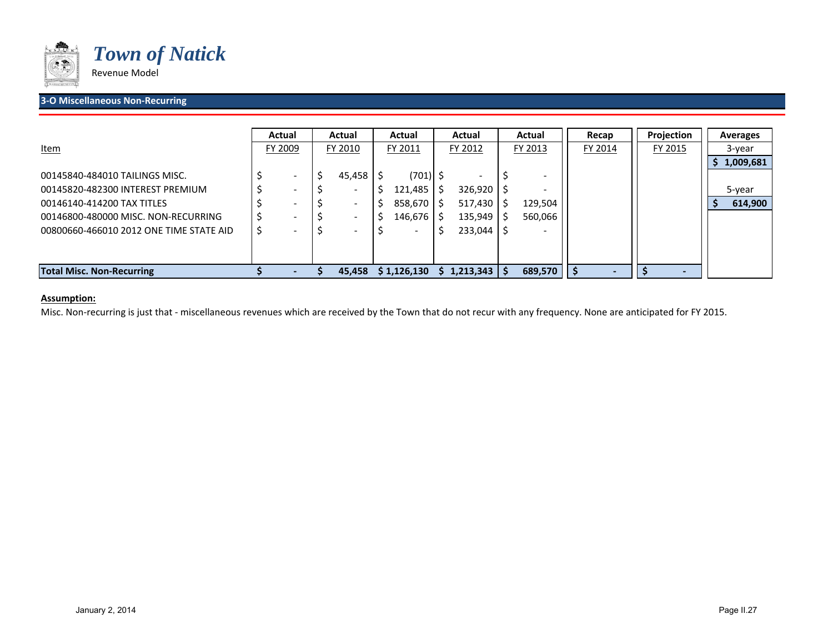

#### **3‐O Miscellaneous Non‐Recurring**

|                                         | Actual  | Actual                   | Actual                   | Actual      |     | Actual  | Recap   | Projection | <b>Averages</b> |
|-----------------------------------------|---------|--------------------------|--------------------------|-------------|-----|---------|---------|------------|-----------------|
| Item                                    | FY 2009 | FY 2010                  | FY 2011                  | FY 2012     |     | FY 2013 | FY 2014 | FY 2015    | 3-year          |
|                                         |         |                          |                          |             |     |         |         |            | 1,009,681       |
| 00145840-484010 TAILINGS MISC.          |         | $45,458$ S               | $(701)$ \$               |             |     |         |         |            |                 |
| 00145820-482300 INTEREST PREMIUM        |         | $\overline{\phantom{a}}$ | 121,485                  | 326,920     |     |         |         |            | 5-year          |
| 00146140-414200 TAX TITLES              |         | $\overline{\phantom{a}}$ | $858,670$ S              | 517,430     | -S  | 129,504 |         |            | 614,900         |
| 00146800-480000 MISC. NON-RECURRING     |         | $\overline{\phantom{a}}$ | $146,676$ S              | 135,949     |     | 560,066 |         |            |                 |
| 00800660-466010 2012 ONE TIME STATE AID |         | $\overline{\phantom{a}}$ | $\overline{\phantom{0}}$ | 233,044     |     |         |         |            |                 |
|                                         |         |                          |                          |             |     |         |         |            |                 |
|                                         |         |                          |                          |             |     |         |         |            |                 |
| <b>Total Misc. Non-Recurring</b>        |         | 45,458                   | \$1,126,130              | \$1,213,343 | ∣S. | 689,570 |         |            |                 |

### **Assumption:**

Misc. Non‐recurring is just that ‐ miscellaneous revenues which are received by the Town that do not recur with any frequency. None are anticipated for FY 2015.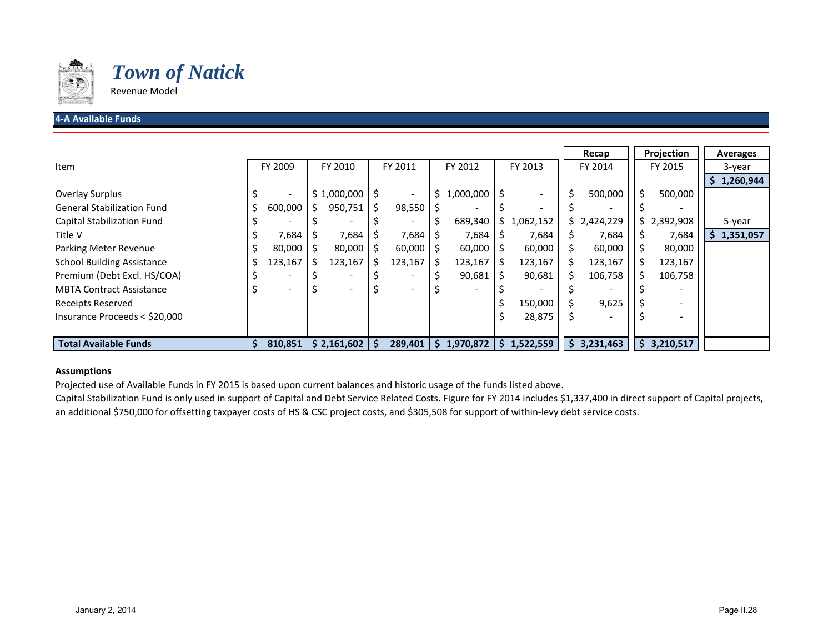

## *Town of Natick* Revenue Model

#### **4‐A Available Funds**

|                                   |         |   |                  |    |         |    |                          |      |           |    | Recap                    |   | Projection |    | <b>Averages</b> |
|-----------------------------------|---------|---|------------------|----|---------|----|--------------------------|------|-----------|----|--------------------------|---|------------|----|-----------------|
| Item                              | FY 2009 |   | FY 2010          |    | FY 2011 |    | FY 2012                  |      | FY 2013   |    | FY 2014                  |   | FY 2015    |    | 3-year          |
|                                   |         |   |                  |    |         |    |                          |      |           |    |                          |   |            | S. | 1,260,944       |
| Overlay Surplus                   |         |   | $$1,000,000$ S   |    |         | \$ | 1,000,000                |      |           | ∍  | 500,000                  |   | 500,000    |    |                 |
| <b>General Stabilization Fund</b> | 600,000 | Ś | 950,751          | -S | 98,550  | S  |                          |      |           |    |                          |   |            |    |                 |
| <b>Capital Stabilization Fund</b> |         |   |                  |    |         |    | 689,340                  | S    | ,062,152  | S. | 2,424,229                | S | 2,392,908  |    | 5-year          |
| Title V                           | 7,684   |   | 7,684            | -S | 7,684   |    | 7,684                    | -S   | 7,684     |    | 7,684                    |   | 7,684      | S. | 1,351,057       |
| Parking Meter Revenue             | 80,000  | Ŝ | $80,000$   \$    |    | 60,000  |    | 60,000                   | -S   | 60,000    |    | 60,000                   |   | 80,000     |    |                 |
| <b>School Building Assistance</b> | 123,167 | S | 123,167          |    | 123,167 | Ś  | 123,167                  |      | 123,167   | Ś  | 123,167                  |   | 123,167    |    |                 |
| Premium (Debt Excl. HS/COA)       |         |   |                  |    |         |    | 90,681                   |      | 90,681    | Ś. | 106,758                  |   | 106,758    |    |                 |
| <b>MBTA Contract Assistance</b>   |         |   |                  |    |         |    | $\overline{\phantom{0}}$ |      |           |    |                          |   |            |    |                 |
| Receipts Reserved                 |         |   |                  |    |         |    |                          |      | 150,000   |    | 9,625                    |   |            |    |                 |
| Insurance Proceeds < \$20,000     |         |   |                  |    |         |    |                          |      | 28,875    |    | $\overline{\phantom{a}}$ |   |            |    |                 |
|                                   |         |   |                  |    |         |    |                          |      |           |    |                          |   |            |    |                 |
| <b>Total Available Funds</b>      | 810,851 |   | $$2,161,602$ $$$ |    | 289,401 |    | \$1,970,872              | l Si | 1,522,559 |    | \$3,231,463              | S | 3,210,517  |    |                 |

#### **Assumptions**

Projected use of Available Funds in FY 2015 is based upon current balances and historic usage of the funds listed above.

Capital Stabilization Fund is only used in support of Capital and Debt Service Related Costs. Figure for FY 2014 includes \$1,337,400 in direct support of Capital projects, an additional \$750,000 for offsetting taxpayer costs of HS & CSC project costs, and \$305,508 for support of within‐levy debt service costs.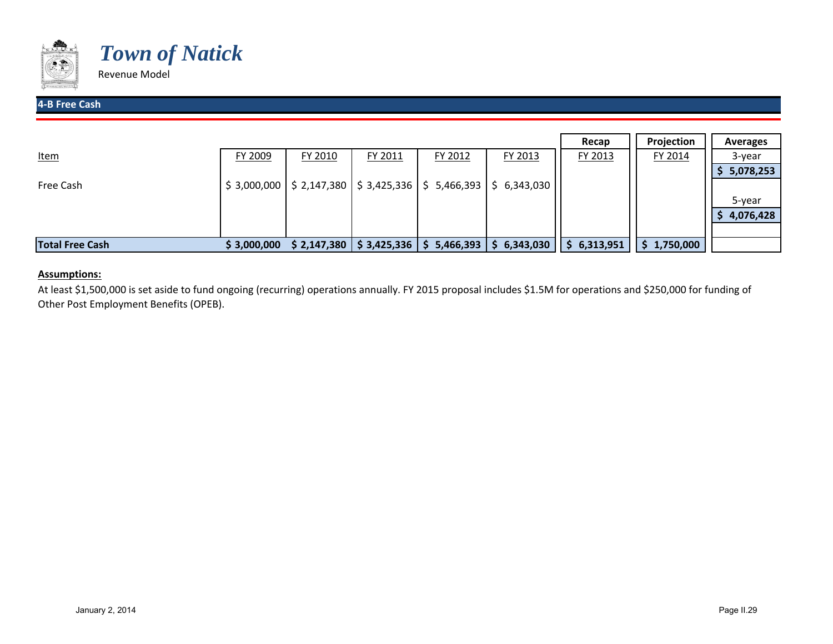



#### **4‐B Free Cash**

|                        |             |         |                           |                                                                                                                                     |           | Recap           | Projection | Averages  |
|------------------------|-------------|---------|---------------------------|-------------------------------------------------------------------------------------------------------------------------------------|-----------|-----------------|------------|-----------|
| <u>Item</u>            | FY 2009     | FY 2010 | FY 2011                   | FY 2012                                                                                                                             | FY 2013   | FY 2013         | FY 2014    | 3-year    |
|                        |             |         |                           |                                                                                                                                     |           |                 |            | 5,078,253 |
| Free Cash              |             |         |                           | $\frac{1}{2}$ 3,000,000 $\frac{1}{2}$ \$ 2,147,380 $\frac{1}{2}$ \$ 3,425,336 $\frac{1}{2}$ \$ 5,466,393 $\frac{1}{2}$ \$ 6,343,030 |           |                 |            |           |
|                        |             |         |                           |                                                                                                                                     |           |                 |            | 5-year    |
|                        |             |         |                           |                                                                                                                                     |           |                 |            | 4,076,428 |
|                        |             |         |                           |                                                                                                                                     |           |                 |            |           |
| <b>Total Free Cash</b> | \$3,000,000 |         | $$2,147,380$ $$3,425,336$ | 5,466,393                                                                                                                           | 6,343,030 | 6,313,951<br>S. | 1,750,000  |           |

### **Assumptions:**

At least \$1,500,000 is set aside to fund ongoing (recurring) operations annually. FY 2015 proposal includes \$1.5M for operations and \$250,000 for funding of Other Post Employment Benefits (OPEB).